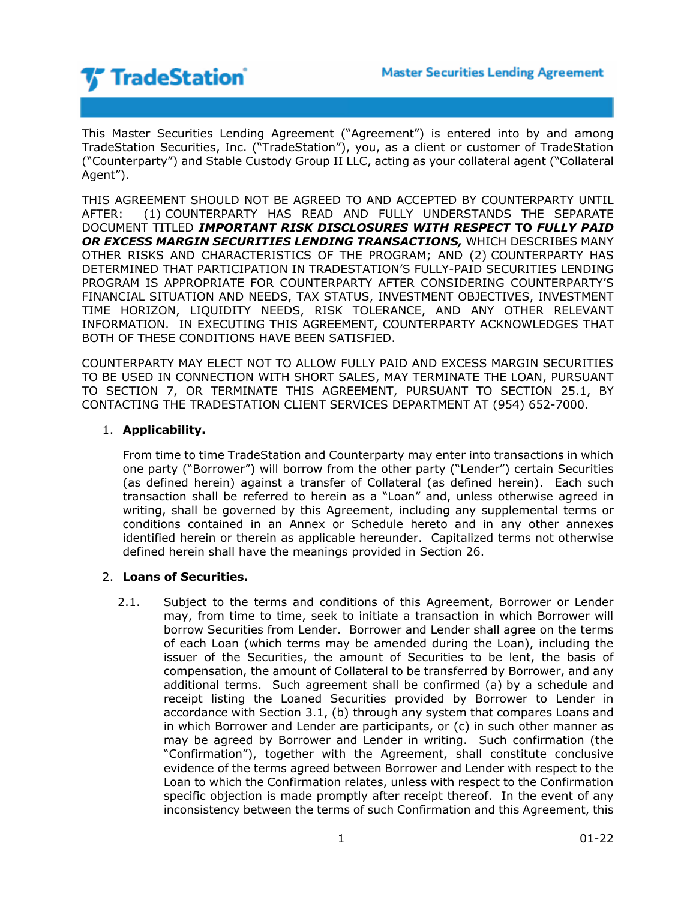

This Master Securities Lending Agreement ("Agreement") is entered into by and among TradeStation Securities, Inc. ("TradeStation"), you, as a client or customer of TradeStation ("Counterparty") and Stable Custody Group II LLC, acting as your collateral agent ("Collateral Agent").

THIS AGREEMENT SHOULD NOT BE AGREED TO AND ACCEPTED BY COUNTERPARTY UNTIL AFTER: (1) COUNTERPARTY HAS READ AND FULLY UNDERSTANDS THE SEPARATE DOCUMENT TITLED *IMPORTANT RISK DISCLOSURES WITH RESPECT* **TO** *FULLY PAID OR EXCESS MARGIN SECURITIES LENDING TRANSACTIONS,* WHICH DESCRIBES MANY OTHER RISKS AND CHARACTERISTICS OF THE PROGRAM; AND (2) COUNTERPARTY HAS DETERMINED THAT PARTICIPATION IN TRADESTATION'S FULLY-PAID SECURITIES LENDING PROGRAM IS APPROPRIATE FOR COUNTERPARTY AFTER CONSIDERING COUNTERPARTY'S FINANCIAL SITUATION AND NEEDS, TAX STATUS, INVESTMENT OBJECTIVES, INVESTMENT TIME HORIZON, LIQUIDITY NEEDS, RISK TOLERANCE, AND ANY OTHER RELEVANT INFORMATION. IN EXECUTING THIS AGREEMENT, COUNTERPARTY ACKNOWLEDGES THAT BOTH OF THESE CONDITIONS HAVE BEEN SATISFIED.

COUNTERPARTY MAY ELECT NOT TO ALLOW FULLY PAID AND EXCESS MARGIN SECURITIES TO BE USED IN CONNECTION WITH SHORT SALES, MAY TERMINATE THE LOAN, PURSUANT TO SECTION 7, OR TERMINATE THIS AGREEMENT, PURSUANT TO SECTION 25.1, BY CONTACTING THE TRADESTATION CLIENT SERVICES DEPARTMENT AT (954) 652-7000.

## 1. **Applicability.**

From time to time TradeStation and Counterparty may enter into transactions in which one party ("Borrower") will borrow from the other party ("Lender") certain Securities (as defined herein) against a transfer of Collateral (as defined herein). Each such transaction shall be referred to herein as a "Loan" and, unless otherwise agreed in writing, shall be governed by this Agreement, including any supplemental terms or conditions contained in an Annex or Schedule hereto and in any other annexes identified herein or therein as applicable hereunder. Capitalized terms not otherwise defined herein shall have the meanings provided in Section 26.

## 2. **Loans of Securities.**

2.1. Subject to the terms and conditions of this Agreement, Borrower or Lender may, from time to time, seek to initiate a transaction in which Borrower will borrow Securities from Lender. Borrower and Lender shall agree on the terms of each Loan (which terms may be amended during the Loan), including the issuer of the Securities, the amount of Securities to be lent, the basis of compensation, the amount of Collateral to be transferred by Borrower, and any additional terms. Such agreement shall be confirmed (a) by a schedule and receipt listing the Loaned Securities provided by Borrower to Lender in accordance with Section 3.1, (b) through any system that compares Loans and in which Borrower and Lender are participants, or (c) in such other manner as may be agreed by Borrower and Lender in writing. Such confirmation (the "Confirmation"), together with the Agreement, shall constitute conclusive evidence of the terms agreed between Borrower and Lender with respect to the Loan to which the Confirmation relates, unless with respect to the Confirmation specific objection is made promptly after receipt thereof. In the event of any inconsistency between the terms of such Confirmation and this Agreement, this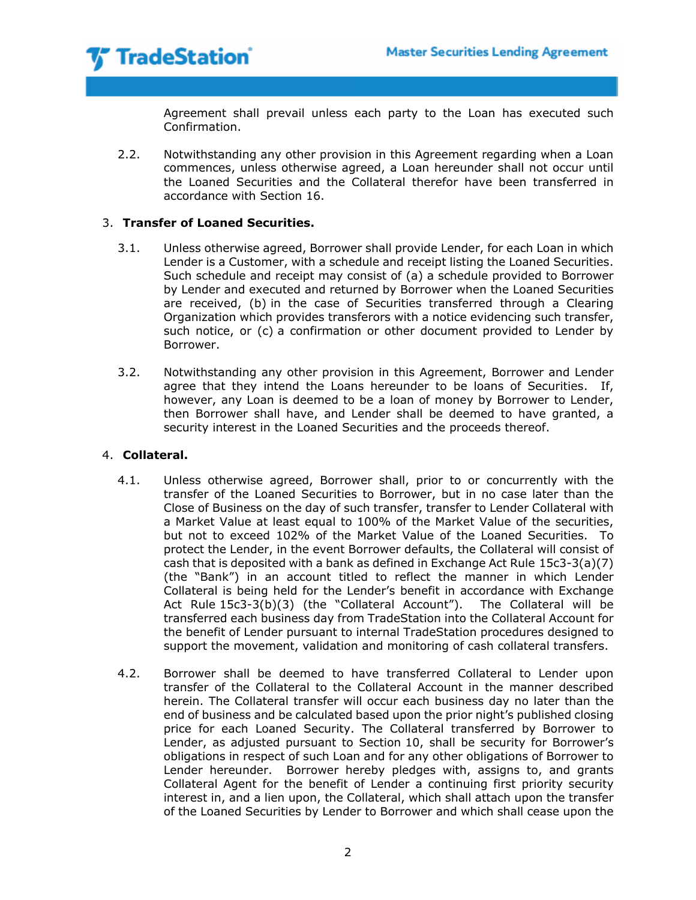Agreement shall prevail unless each party to the Loan has executed such Confirmation.

2.2. Notwithstanding any other provision in this Agreement regarding when a Loan commences, unless otherwise agreed, a Loan hereunder shall not occur until the Loaned Securities and the Collateral therefor have been transferred in accordance with Section 16.

## 3. **Transfer of Loaned Securities.**

- 3.1. Unless otherwise agreed, Borrower shall provide Lender, for each Loan in which Lender is a Customer, with a schedule and receipt listing the Loaned Securities. Such schedule and receipt may consist of (a) a schedule provided to Borrower by Lender and executed and returned by Borrower when the Loaned Securities are received, (b) in the case of Securities transferred through a Clearing Organization which provides transferors with a notice evidencing such transfer, such notice, or (c) a confirmation or other document provided to Lender by Borrower.
- 3.2. Notwithstanding any other provision in this Agreement, Borrower and Lender agree that they intend the Loans hereunder to be loans of Securities. If, however, any Loan is deemed to be a loan of money by Borrower to Lender, then Borrower shall have, and Lender shall be deemed to have granted, a security interest in the Loaned Securities and the proceeds thereof.

## 4. **Collateral.**

- 4.1. Unless otherwise agreed, Borrower shall, prior to or concurrently with the transfer of the Loaned Securities to Borrower, but in no case later than the Close of Business on the day of such transfer, transfer to Lender Collateral with a Market Value at least equal to 100% of the Market Value of the securities, but not to exceed 102% of the Market Value of the Loaned Securities. To protect the Lender, in the event Borrower defaults, the Collateral will consist of cash that is deposited with a bank as defined in Exchange Act Rule 15c3-3(a)(7) (the "Bank") in an account titled to reflect the manner in which Lender Collateral is being held for the Lender's benefit in accordance with Exchange Act Rule 15c3-3(b)(3) (the "Collateral Account"). The Collateral will be transferred each business day from TradeStation into the Collateral Account for the benefit of Lender pursuant to internal TradeStation procedures designed to support the movement, validation and monitoring of cash collateral transfers.
- 4.2. Borrower shall be deemed to have transferred Collateral to Lender upon transfer of the Collateral to the Collateral Account in the manner described herein. The Collateral transfer will occur each business day no later than the end of business and be calculated based upon the prior night's published closing price for each Loaned Security. The Collateral transferred by Borrower to Lender, as adjusted pursuant to Section 10, shall be security for Borrower's obligations in respect of such Loan and for any other obligations of Borrower to Lender hereunder. Borrower hereby pledges with, assigns to, and grants Collateral Agent for the benefit of Lender a continuing first priority security interest in, and a lien upon, the Collateral, which shall attach upon the transfer of the Loaned Securities by Lender to Borrower and which shall cease upon the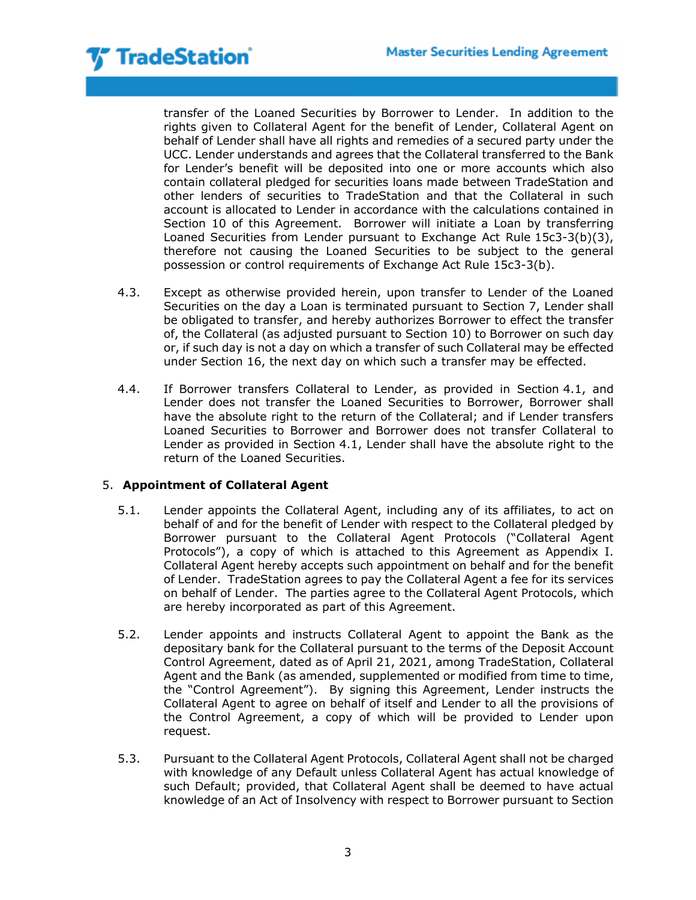transfer of the Loaned Securities by Borrower to Lender. In addition to the rights given to Collateral Agent for the benefit of Lender, Collateral Agent on behalf of Lender shall have all rights and remedies of a secured party under the UCC. Lender understands and agrees that the Collateral transferred to the Bank for Lender's benefit will be deposited into one or more accounts which also contain collateral pledged for securities loans made between TradeStation and other lenders of securities to TradeStation and that the Collateral in such account is allocated to Lender in accordance with the calculations contained in Section 10 of this Agreement. Borrower will initiate a Loan by transferring Loaned Securities from Lender pursuant to Exchange Act Rule 15c3-3(b)(3), therefore not causing the Loaned Securities to be subject to the general possession or control requirements of Exchange Act Rule 15c3-3(b).

- 4.3. Except as otherwise provided herein, upon transfer to Lender of the Loaned Securities on the day a Loan is terminated pursuant to Section 7, Lender shall be obligated to transfer, and hereby authorizes Borrower to effect the transfer of, the Collateral (as adjusted pursuant to Section 10) to Borrower on such day or, if such day is not a day on which a transfer of such Collateral may be effected under Section 16, the next day on which such a transfer may be effected.
- 4.4. If Borrower transfers Collateral to Lender, as provided in Section 4.1, and Lender does not transfer the Loaned Securities to Borrower, Borrower shall have the absolute right to the return of the Collateral; and if Lender transfers Loaned Securities to Borrower and Borrower does not transfer Collateral to Lender as provided in Section 4.1, Lender shall have the absolute right to the return of the Loaned Securities.

# 5. **Appointment of Collateral Agent**

- 5.1. Lender appoints the Collateral Agent, including any of its affiliates, to act on behalf of and for the benefit of Lender with respect to the Collateral pledged by Borrower pursuant to the Collateral Agent Protocols ("Collateral Agent Protocols"), a copy of which is attached to this Agreement as Appendix I. Collateral Agent hereby accepts such appointment on behalf and for the benefit of Lender. TradeStation agrees to pay the Collateral Agent a fee for its services on behalf of Lender. The parties agree to the Collateral Agent Protocols, which are hereby incorporated as part of this Agreement.
- 5.2. Lender appoints and instructs Collateral Agent to appoint the Bank as the depositary bank for the Collateral pursuant to the terms of the Deposit Account Control Agreement, dated as of April 21, 2021, among TradeStation, Collateral Agent and the Bank (as amended, supplemented or modified from time to time, the "Control Agreement"). By signing this Agreement, Lender instructs the Collateral Agent to agree on behalf of itself and Lender to all the provisions of the Control Agreement, a copy of which will be provided to Lender upon request.
- 5.3. Pursuant to the Collateral Agent Protocols, Collateral Agent shall not be charged with knowledge of any Default unless Collateral Agent has actual knowledge of such Default; provided, that Collateral Agent shall be deemed to have actual knowledge of an Act of Insolvency with respect to Borrower pursuant to Section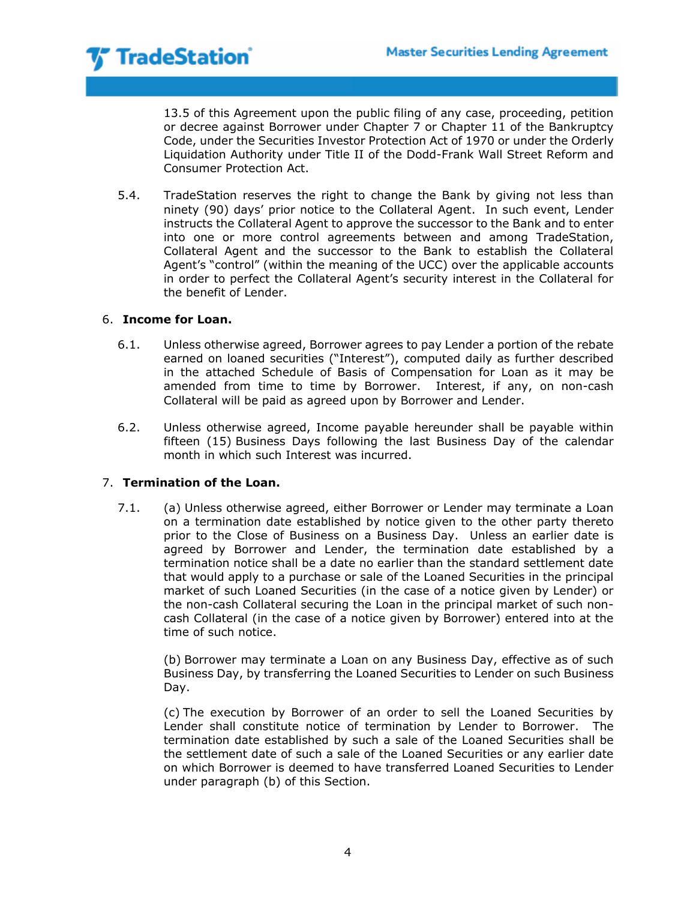13.5 of this Agreement upon the public filing of any case, proceeding, petition or decree against Borrower under Chapter 7 or Chapter 11 of the Bankruptcy Code, under the Securities Investor Protection Act of 1970 or under the Orderly Liquidation Authority under Title II of the Dodd-Frank Wall Street Reform and Consumer Protection Act.

5.4. TradeStation reserves the right to change the Bank by giving not less than ninety (90) days' prior notice to the Collateral Agent. In such event, Lender instructs the Collateral Agent to approve the successor to the Bank and to enter into one or more control agreements between and among TradeStation, Collateral Agent and the successor to the Bank to establish the Collateral Agent's "control" (within the meaning of the UCC) over the applicable accounts in order to perfect the Collateral Agent's security interest in the Collateral for the benefit of Lender.

## 6. **Income for Loan.**

- 6.1. Unless otherwise agreed, Borrower agrees to pay Lender a portion of the rebate earned on loaned securities ("Interest"), computed daily as further described in the attached Schedule of Basis of Compensation for Loan as it may be amended from time to time by Borrower. Interest, if any, on non-cash Collateral will be paid as agreed upon by Borrower and Lender.
- 6.2. Unless otherwise agreed, Income payable hereunder shall be payable within fifteen (15) Business Days following the last Business Day of the calendar month in which such Interest was incurred.

## 7. **Termination of the Loan.**

7.1. (a) Unless otherwise agreed, either Borrower or Lender may terminate a Loan on a termination date established by notice given to the other party thereto prior to the Close of Business on a Business Day. Unless an earlier date is agreed by Borrower and Lender, the termination date established by a termination notice shall be a date no earlier than the standard settlement date that would apply to a purchase or sale of the Loaned Securities in the principal market of such Loaned Securities (in the case of a notice given by Lender) or the non-cash Collateral securing the Loan in the principal market of such noncash Collateral (in the case of a notice given by Borrower) entered into at the time of such notice.

(b) Borrower may terminate a Loan on any Business Day, effective as of such Business Day, by transferring the Loaned Securities to Lender on such Business Day.

(c) The execution by Borrower of an order to sell the Loaned Securities by Lender shall constitute notice of termination by Lender to Borrower. The termination date established by such a sale of the Loaned Securities shall be the settlement date of such a sale of the Loaned Securities or any earlier date on which Borrower is deemed to have transferred Loaned Securities to Lender under paragraph (b) of this Section.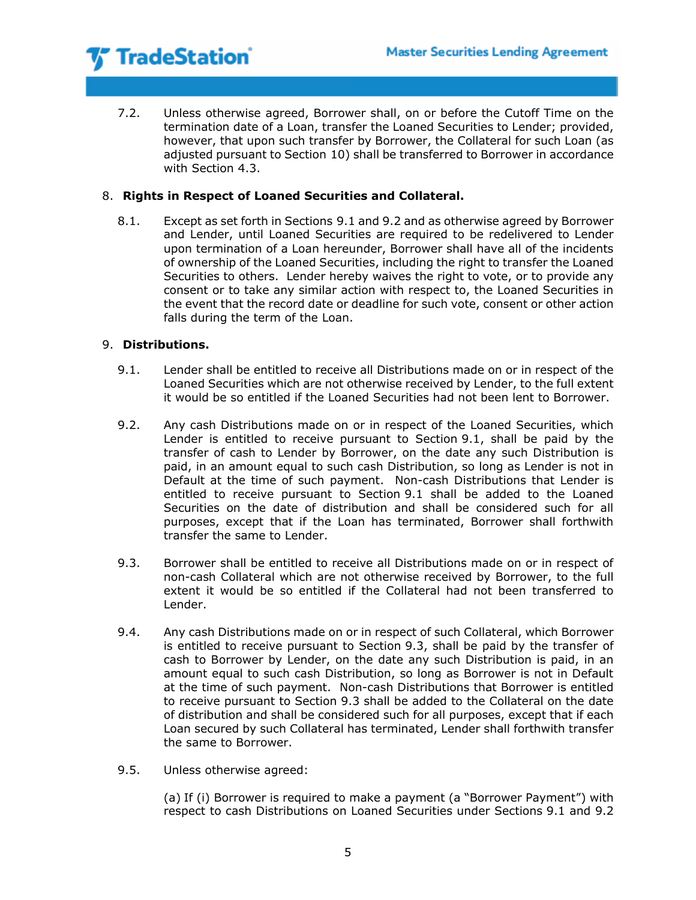7.2. Unless otherwise agreed, Borrower shall, on or before the Cutoff Time on the termination date of a Loan, transfer the Loaned Securities to Lender; provided, however, that upon such transfer by Borrower, the Collateral for such Loan (as adjusted pursuant to Section 10) shall be transferred to Borrower in accordance with Section 4.3.

## 8. **Rights in Respect of Loaned Securities and Collateral.**

8.1. Except as set forth in Sections 9.1 and 9.2 and as otherwise agreed by Borrower and Lender, until Loaned Securities are required to be redelivered to Lender upon termination of a Loan hereunder, Borrower shall have all of the incidents of ownership of the Loaned Securities, including the right to transfer the Loaned Securities to others. Lender hereby waives the right to vote, or to provide any consent or to take any similar action with respect to, the Loaned Securities in the event that the record date or deadline for such vote, consent or other action falls during the term of the Loan.

## 9. **Distributions.**

- 9.1. Lender shall be entitled to receive all Distributions made on or in respect of the Loaned Securities which are not otherwise received by Lender, to the full extent it would be so entitled if the Loaned Securities had not been lent to Borrower.
- 9.2. Any cash Distributions made on or in respect of the Loaned Securities, which Lender is entitled to receive pursuant to Section 9.1, shall be paid by the transfer of cash to Lender by Borrower, on the date any such Distribution is paid, in an amount equal to such cash Distribution, so long as Lender is not in Default at the time of such payment. Non-cash Distributions that Lender is entitled to receive pursuant to Section 9.1 shall be added to the Loaned Securities on the date of distribution and shall be considered such for all purposes, except that if the Loan has terminated, Borrower shall forthwith transfer the same to Lender.
- 9.3. Borrower shall be entitled to receive all Distributions made on or in respect of non-cash Collateral which are not otherwise received by Borrower, to the full extent it would be so entitled if the Collateral had not been transferred to Lender.
- 9.4. Any cash Distributions made on or in respect of such Collateral, which Borrower is entitled to receive pursuant to Section 9.3, shall be paid by the transfer of cash to Borrower by Lender, on the date any such Distribution is paid, in an amount equal to such cash Distribution, so long as Borrower is not in Default at the time of such payment. Non-cash Distributions that Borrower is entitled to receive pursuant to Section 9.3 shall be added to the Collateral on the date of distribution and shall be considered such for all purposes, except that if each Loan secured by such Collateral has terminated, Lender shall forthwith transfer the same to Borrower.
- 9.5. Unless otherwise agreed:

(a) If (i) Borrower is required to make a payment (a "Borrower Payment") with respect to cash Distributions on Loaned Securities under Sections 9.1 and 9.2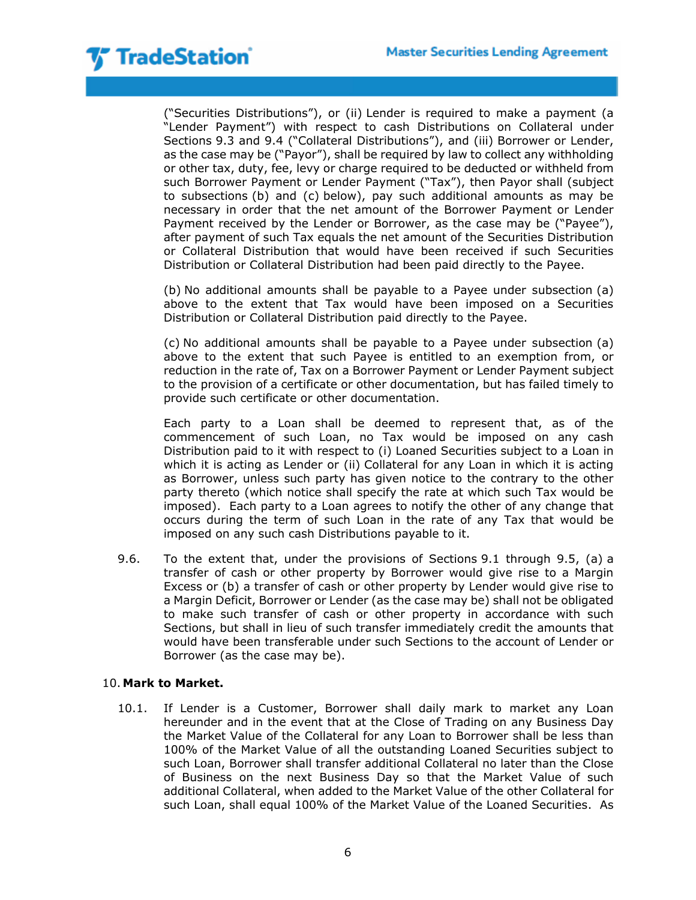

("Securities Distributions"), or (ii) Lender is required to make a payment (a "Lender Payment") with respect to cash Distributions on Collateral under Sections 9.3 and 9.4 ("Collateral Distributions"), and (iii) Borrower or Lender, as the case may be ("Payor"), shall be required by law to collect any withholding or other tax, duty, fee, levy or charge required to be deducted or withheld from such Borrower Payment or Lender Payment ("Tax"), then Payor shall (subject to subsections (b) and (c) below), pay such additional amounts as may be necessary in order that the net amount of the Borrower Payment or Lender Payment received by the Lender or Borrower, as the case may be ("Payee"), after payment of such Tax equals the net amount of the Securities Distribution or Collateral Distribution that would have been received if such Securities Distribution or Collateral Distribution had been paid directly to the Payee.

(b) No additional amounts shall be payable to a Payee under subsection (a) above to the extent that Tax would have been imposed on a Securities Distribution or Collateral Distribution paid directly to the Payee.

(c) No additional amounts shall be payable to a Payee under subsection (a) above to the extent that such Payee is entitled to an exemption from, or reduction in the rate of, Tax on a Borrower Payment or Lender Payment subject to the provision of a certificate or other documentation, but has failed timely to provide such certificate or other documentation.

Each party to a Loan shall be deemed to represent that, as of the commencement of such Loan, no Tax would be imposed on any cash Distribution paid to it with respect to (i) Loaned Securities subject to a Loan in which it is acting as Lender or (ii) Collateral for any Loan in which it is acting as Borrower, unless such party has given notice to the contrary to the other party thereto (which notice shall specify the rate at which such Tax would be imposed). Each party to a Loan agrees to notify the other of any change that occurs during the term of such Loan in the rate of any Tax that would be imposed on any such cash Distributions payable to it.

9.6. To the extent that, under the provisions of Sections 9.1 through 9.5, (a) a transfer of cash or other property by Borrower would give rise to a Margin Excess or (b) a transfer of cash or other property by Lender would give rise to a Margin Deficit, Borrower or Lender (as the case may be) shall not be obligated to make such transfer of cash or other property in accordance with such Sections, but shall in lieu of such transfer immediately credit the amounts that would have been transferable under such Sections to the account of Lender or Borrower (as the case may be).

### 10. **Mark to Market.**

10.1. If Lender is a Customer, Borrower shall daily mark to market any Loan hereunder and in the event that at the Close of Trading on any Business Day the Market Value of the Collateral for any Loan to Borrower shall be less than 100% of the Market Value of all the outstanding Loaned Securities subject to such Loan, Borrower shall transfer additional Collateral no later than the Close of Business on the next Business Day so that the Market Value of such additional Collateral, when added to the Market Value of the other Collateral for such Loan, shall equal 100% of the Market Value of the Loaned Securities. As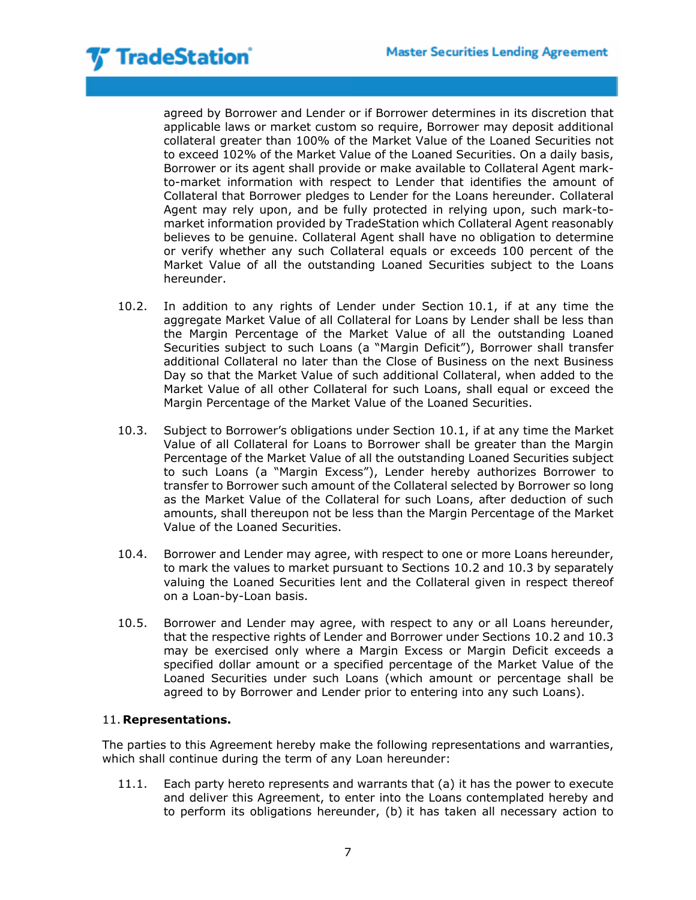agreed by Borrower and Lender or if Borrower determines in its discretion that applicable laws or market custom so require, Borrower may deposit additional collateral greater than 100% of the Market Value of the Loaned Securities not to exceed 102% of the Market Value of the Loaned Securities. On a daily basis, Borrower or its agent shall provide or make available to Collateral Agent markto-market information with respect to Lender that identifies the amount of Collateral that Borrower pledges to Lender for the Loans hereunder. Collateral Agent may rely upon, and be fully protected in relying upon, such mark-tomarket information provided by TradeStation which Collateral Agent reasonably believes to be genuine. Collateral Agent shall have no obligation to determine or verify whether any such Collateral equals or exceeds 100 percent of the Market Value of all the outstanding Loaned Securities subject to the Loans hereunder.

- 10.2. In addition to any rights of Lender under Section 10.1, if at any time the aggregate Market Value of all Collateral for Loans by Lender shall be less than the Margin Percentage of the Market Value of all the outstanding Loaned Securities subject to such Loans (a "Margin Deficit"), Borrower shall transfer additional Collateral no later than the Close of Business on the next Business Day so that the Market Value of such additional Collateral, when added to the Market Value of all other Collateral for such Loans, shall equal or exceed the Margin Percentage of the Market Value of the Loaned Securities.
- 10.3. Subject to Borrower's obligations under Section 10.1, if at any time the Market Value of all Collateral for Loans to Borrower shall be greater than the Margin Percentage of the Market Value of all the outstanding Loaned Securities subject to such Loans (a "Margin Excess"), Lender hereby authorizes Borrower to transfer to Borrower such amount of the Collateral selected by Borrower so long as the Market Value of the Collateral for such Loans, after deduction of such amounts, shall thereupon not be less than the Margin Percentage of the Market Value of the Loaned Securities.
- 10.4. Borrower and Lender may agree, with respect to one or more Loans hereunder, to mark the values to market pursuant to Sections 10.2 and 10.3 by separately valuing the Loaned Securities lent and the Collateral given in respect thereof on a Loan-by-Loan basis.
- 10.5. Borrower and Lender may agree, with respect to any or all Loans hereunder, that the respective rights of Lender and Borrower under Sections 10.2 and 10.3 may be exercised only where a Margin Excess or Margin Deficit exceeds a specified dollar amount or a specified percentage of the Market Value of the Loaned Securities under such Loans (which amount or percentage shall be agreed to by Borrower and Lender prior to entering into any such Loans).

## 11. **Representations.**

The parties to this Agreement hereby make the following representations and warranties, which shall continue during the term of any Loan hereunder:

11.1. Each party hereto represents and warrants that (a) it has the power to execute and deliver this Agreement, to enter into the Loans contemplated hereby and to perform its obligations hereunder, (b) it has taken all necessary action to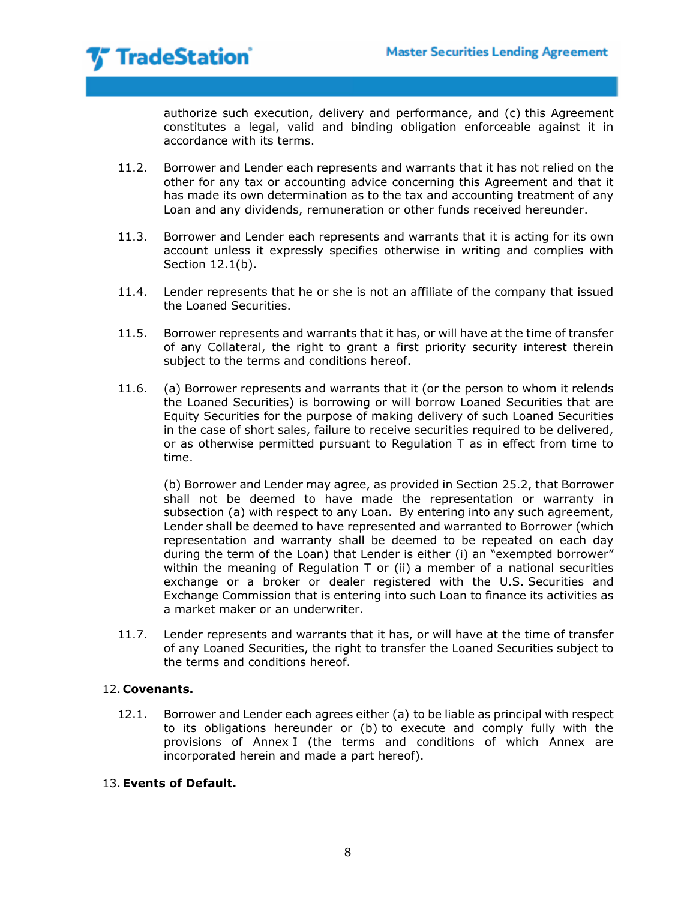

authorize such execution, delivery and performance, and (c) this Agreement constitutes a legal, valid and binding obligation enforceable against it in accordance with its terms.

- 11.2. Borrower and Lender each represents and warrants that it has not relied on the other for any tax or accounting advice concerning this Agreement and that it has made its own determination as to the tax and accounting treatment of any Loan and any dividends, remuneration or other funds received hereunder.
- 11.3. Borrower and Lender each represents and warrants that it is acting for its own account unless it expressly specifies otherwise in writing and complies with Section 12.1(b).
- 11.4. Lender represents that he or she is not an affiliate of the company that issued the Loaned Securities.
- 11.5. Borrower represents and warrants that it has, or will have at the time of transfer of any Collateral, the right to grant a first priority security interest therein subject to the terms and conditions hereof.
- 11.6. (a) Borrower represents and warrants that it (or the person to whom it relends the Loaned Securities) is borrowing or will borrow Loaned Securities that are Equity Securities for the purpose of making delivery of such Loaned Securities in the case of short sales, failure to receive securities required to be delivered, or as otherwise permitted pursuant to Regulation T as in effect from time to time.

(b) Borrower and Lender may agree, as provided in Section 25.2, that Borrower shall not be deemed to have made the representation or warranty in subsection (a) with respect to any Loan. By entering into any such agreement, Lender shall be deemed to have represented and warranted to Borrower (which representation and warranty shall be deemed to be repeated on each day during the term of the Loan) that Lender is either (i) an "exempted borrower" within the meaning of Regulation T or (ii) a member of a national securities exchange or a broker or dealer registered with the U.S. Securities and Exchange Commission that is entering into such Loan to finance its activities as a market maker or an underwriter.

11.7. Lender represents and warrants that it has, or will have at the time of transfer of any Loaned Securities, the right to transfer the Loaned Securities subject to the terms and conditions hereof.

## 12. **Covenants.**

12.1. Borrower and Lender each agrees either (a) to be liable as principal with respect to its obligations hereunder or (b) to execute and comply fully with the provisions of Annex I (the terms and conditions of which Annex are incorporated herein and made a part hereof).

# 13.**Events of Default.**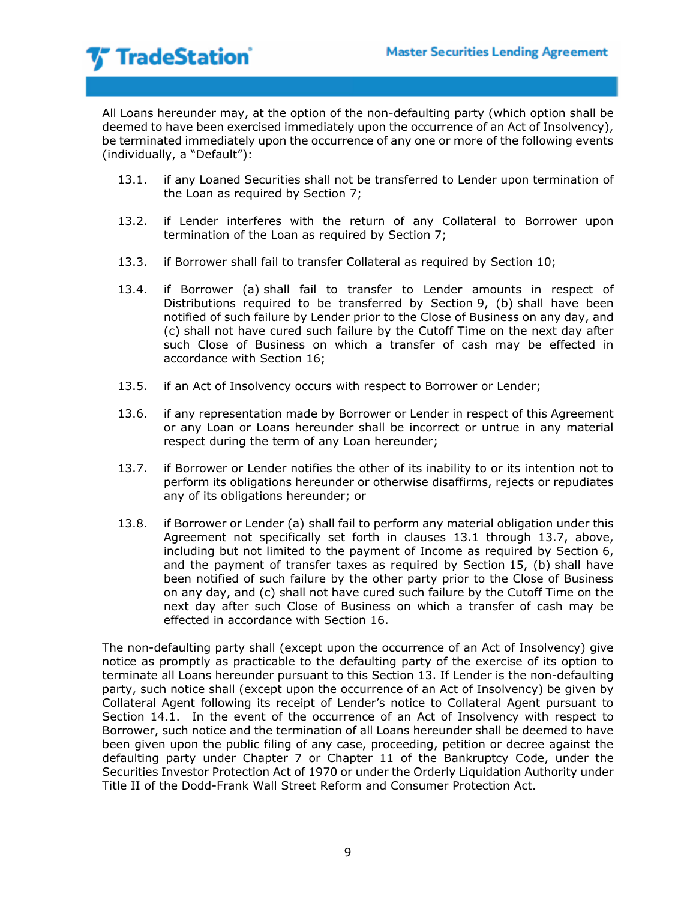All Loans hereunder may, at the option of the non-defaulting party (which option shall be deemed to have been exercised immediately upon the occurrence of an Act of Insolvency), be terminated immediately upon the occurrence of any one or more of the following events (individually, a "Default"):

- 13.1. if any Loaned Securities shall not be transferred to Lender upon termination of the Loan as required by Section 7;
- 13.2. if Lender interferes with the return of any Collateral to Borrower upon termination of the Loan as required by Section 7;
- 13.3. if Borrower shall fail to transfer Collateral as required by Section 10;
- 13.4. if Borrower (a) shall fail to transfer to Lender amounts in respect of Distributions required to be transferred by Section 9, (b) shall have been notified of such failure by Lender prior to the Close of Business on any day, and (c) shall not have cured such failure by the Cutoff Time on the next day after such Close of Business on which a transfer of cash may be effected in accordance with Section 16;
- 13.5. if an Act of Insolvency occurs with respect to Borrower or Lender;
- 13.6. if any representation made by Borrower or Lender in respect of this Agreement or any Loan or Loans hereunder shall be incorrect or untrue in any material respect during the term of any Loan hereunder;
- 13.7. if Borrower or Lender notifies the other of its inability to or its intention not to perform its obligations hereunder or otherwise disaffirms, rejects or repudiates any of its obligations hereunder; or
- 13.8. if Borrower or Lender (a) shall fail to perform any material obligation under this Agreement not specifically set forth in clauses 13.1 through 13.7, above, including but not limited to the payment of Income as required by Section 6, and the payment of transfer taxes as required by Section 15, (b) shall have been notified of such failure by the other party prior to the Close of Business on any day, and (c) shall not have cured such failure by the Cutoff Time on the next day after such Close of Business on which a transfer of cash may be effected in accordance with Section 16.

The non-defaulting party shall (except upon the occurrence of an Act of Insolvency) give notice as promptly as practicable to the defaulting party of the exercise of its option to terminate all Loans hereunder pursuant to this Section 13. If Lender is the non-defaulting party, such notice shall (except upon the occurrence of an Act of Insolvency) be given by Collateral Agent following its receipt of Lender's notice to Collateral Agent pursuant to Section 14.1. In the event of the occurrence of an Act of Insolvency with respect to Borrower, such notice and the termination of all Loans hereunder shall be deemed to have been given upon the public filing of any case, proceeding, petition or decree against the defaulting party under Chapter 7 or Chapter 11 of the Bankruptcy Code, under the Securities Investor Protection Act of 1970 or under the Orderly Liquidation Authority under Title II of the Dodd-Frank Wall Street Reform and Consumer Protection Act.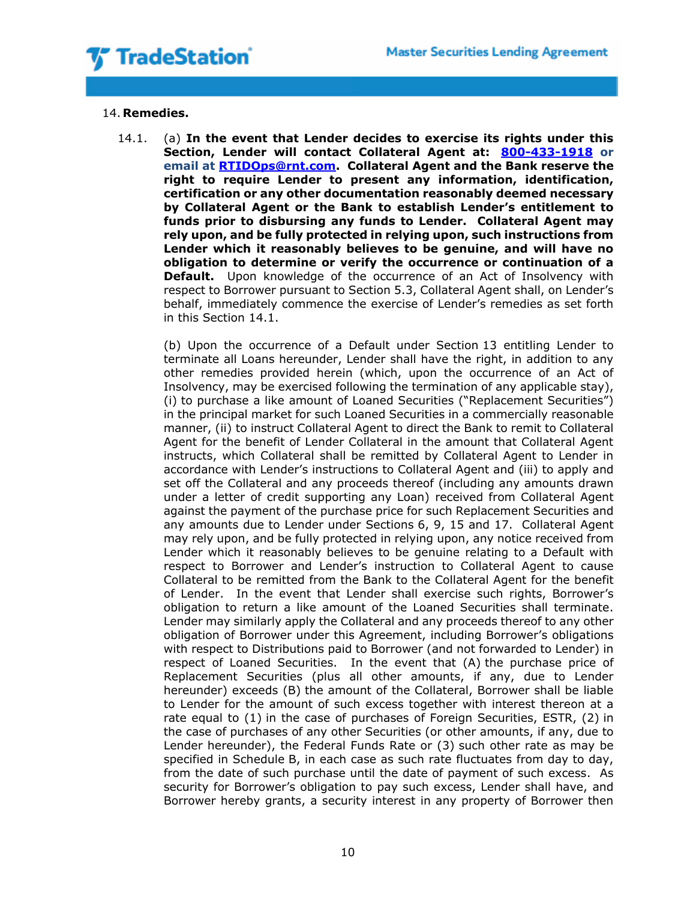

### 14. **Remedies.**

14.1. (a) **In the event that Lender decides to exercise its rights under this Section, Lender will contact Collateral Agent at: [800-433-1918](tel:800-433-1918) or email at [RTIDOps@rnt.com.](mailto:RTIDOps@rnt.com) Collateral Agent and the Bank reserve the right to require Lender to present any information, identification, certification or any other documentation reasonably deemed necessary by Collateral Agent or the Bank to establish Lender's entitlement to funds prior to disbursing any funds to Lender. Collateral Agent may rely upon, and be fully protected in relying upon, such instructions from Lender which it reasonably believes to be genuine, and will have no obligation to determine or verify the occurrence or continuation of a Default.** Upon knowledge of the occurrence of an Act of Insolvency with respect to Borrower pursuant to Section 5.3, Collateral Agent shall, on Lender's behalf, immediately commence the exercise of Lender's remedies as set forth in this Section 14.1.

(b) Upon the occurrence of a Default under Section 13 entitling Lender to terminate all Loans hereunder, Lender shall have the right, in addition to any other remedies provided herein (which, upon the occurrence of an Act of Insolvency, may be exercised following the termination of any applicable stay), (i) to purchase a like amount of Loaned Securities ("Replacement Securities") in the principal market for such Loaned Securities in a commercially reasonable manner, (ii) to instruct Collateral Agent to direct the Bank to remit to Collateral Agent for the benefit of Lender Collateral in the amount that Collateral Agent instructs, which Collateral shall be remitted by Collateral Agent to Lender in accordance with Lender's instructions to Collateral Agent and (iii) to apply and set off the Collateral and any proceeds thereof (including any amounts drawn under a letter of credit supporting any Loan) received from Collateral Agent against the payment of the purchase price for such Replacement Securities and any amounts due to Lender under Sections 6, 9, 15 and 17. Collateral Agent may rely upon, and be fully protected in relying upon, any notice received from Lender which it reasonably believes to be genuine relating to a Default with respect to Borrower and Lender's instruction to Collateral Agent to cause Collateral to be remitted from the Bank to the Collateral Agent for the benefit of Lender. In the event that Lender shall exercise such rights, Borrower's obligation to return a like amount of the Loaned Securities shall terminate. Lender may similarly apply the Collateral and any proceeds thereof to any other obligation of Borrower under this Agreement, including Borrower's obligations with respect to Distributions paid to Borrower (and not forwarded to Lender) in respect of Loaned Securities. In the event that (A) the purchase price of Replacement Securities (plus all other amounts, if any, due to Lender hereunder) exceeds (B) the amount of the Collateral, Borrower shall be liable to Lender for the amount of such excess together with interest thereon at a rate equal to (1) in the case of purchases of Foreign Securities, ESTR, (2) in the case of purchases of any other Securities (or other amounts, if any, due to Lender hereunder), the Federal Funds Rate or (3) such other rate as may be specified in Schedule B, in each case as such rate fluctuates from day to day, from the date of such purchase until the date of payment of such excess. As security for Borrower's obligation to pay such excess, Lender shall have, and Borrower hereby grants, a security interest in any property of Borrower then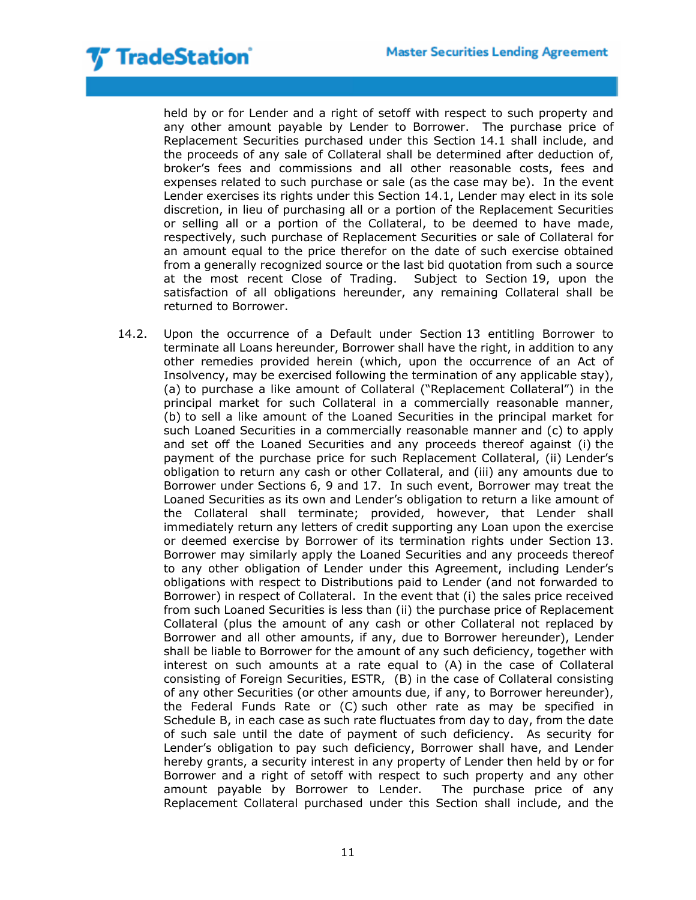held by or for Lender and a right of setoff with respect to such property and any other amount payable by Lender to Borrower. The purchase price of Replacement Securities purchased under this Section 14.1 shall include, and the proceeds of any sale of Collateral shall be determined after deduction of, broker's fees and commissions and all other reasonable costs, fees and expenses related to such purchase or sale (as the case may be). In the event Lender exercises its rights under this Section 14.1, Lender may elect in its sole discretion, in lieu of purchasing all or a portion of the Replacement Securities or selling all or a portion of the Collateral, to be deemed to have made, respectively, such purchase of Replacement Securities or sale of Collateral for an amount equal to the price therefor on the date of such exercise obtained from a generally recognized source or the last bid quotation from such a source at the most recent Close of Trading. Subject to Section 19, upon the satisfaction of all obligations hereunder, any remaining Collateral shall be returned to Borrower.

14.2. Upon the occurrence of a Default under Section 13 entitling Borrower to terminate all Loans hereunder, Borrower shall have the right, in addition to any other remedies provided herein (which, upon the occurrence of an Act of Insolvency, may be exercised following the termination of any applicable stay), (a) to purchase a like amount of Collateral ("Replacement Collateral") in the principal market for such Collateral in a commercially reasonable manner, (b) to sell a like amount of the Loaned Securities in the principal market for such Loaned Securities in a commercially reasonable manner and (c) to apply and set off the Loaned Securities and any proceeds thereof against (i) the payment of the purchase price for such Replacement Collateral, (ii) Lender's obligation to return any cash or other Collateral, and (iii) any amounts due to Borrower under Sections 6, 9 and 17. In such event, Borrower may treat the Loaned Securities as its own and Lender's obligation to return a like amount of the Collateral shall terminate; provided, however, that Lender shall immediately return any letters of credit supporting any Loan upon the exercise or deemed exercise by Borrower of its termination rights under Section 13. Borrower may similarly apply the Loaned Securities and any proceeds thereof to any other obligation of Lender under this Agreement, including Lender's obligations with respect to Distributions paid to Lender (and not forwarded to Borrower) in respect of Collateral. In the event that (i) the sales price received from such Loaned Securities is less than (ii) the purchase price of Replacement Collateral (plus the amount of any cash or other Collateral not replaced by Borrower and all other amounts, if any, due to Borrower hereunder), Lender shall be liable to Borrower for the amount of any such deficiency, together with interest on such amounts at a rate equal to (A) in the case of Collateral consisting of Foreign Securities, ESTR, (B) in the case of Collateral consisting of any other Securities (or other amounts due, if any, to Borrower hereunder), the Federal Funds Rate or (C) such other rate as may be specified in Schedule B, in each case as such rate fluctuates from day to day, from the date of such sale until the date of payment of such deficiency. As security for Lender's obligation to pay such deficiency, Borrower shall have, and Lender hereby grants, a security interest in any property of Lender then held by or for Borrower and a right of setoff with respect to such property and any other amount payable by Borrower to Lender. The purchase price of any Replacement Collateral purchased under this Section shall include, and the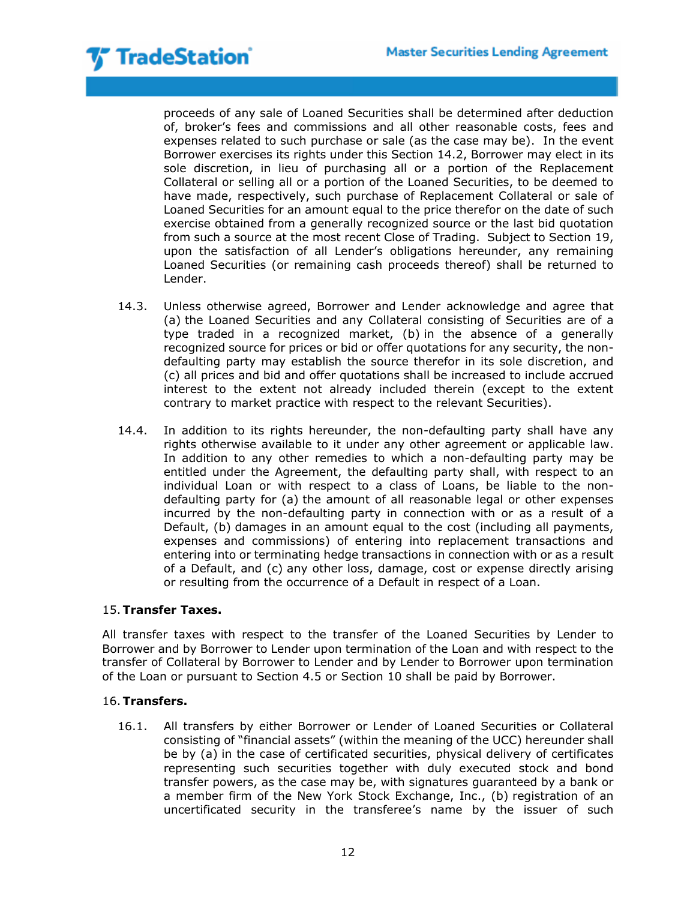proceeds of any sale of Loaned Securities shall be determined after deduction of, broker's fees and commissions and all other reasonable costs, fees and expenses related to such purchase or sale (as the case may be). In the event Borrower exercises its rights under this Section 14.2, Borrower may elect in its sole discretion, in lieu of purchasing all or a portion of the Replacement Collateral or selling all or a portion of the Loaned Securities, to be deemed to have made, respectively, such purchase of Replacement Collateral or sale of Loaned Securities for an amount equal to the price therefor on the date of such exercise obtained from a generally recognized source or the last bid quotation from such a source at the most recent Close of Trading. Subject to Section 19, upon the satisfaction of all Lender's obligations hereunder, any remaining Loaned Securities (or remaining cash proceeds thereof) shall be returned to Lender.

- 14.3. Unless otherwise agreed, Borrower and Lender acknowledge and agree that (a) the Loaned Securities and any Collateral consisting of Securities are of a type traded in a recognized market, (b) in the absence of a generally recognized source for prices or bid or offer quotations for any security, the nondefaulting party may establish the source therefor in its sole discretion, and (c) all prices and bid and offer quotations shall be increased to include accrued interest to the extent not already included therein (except to the extent contrary to market practice with respect to the relevant Securities).
- 14.4. In addition to its rights hereunder, the non-defaulting party shall have any rights otherwise available to it under any other agreement or applicable law. In addition to any other remedies to which a non-defaulting party may be entitled under the Agreement, the defaulting party shall, with respect to an individual Loan or with respect to a class of Loans, be liable to the nondefaulting party for (a) the amount of all reasonable legal or other expenses incurred by the non-defaulting party in connection with or as a result of a Default, (b) damages in an amount equal to the cost (including all payments, expenses and commissions) of entering into replacement transactions and entering into or terminating hedge transactions in connection with or as a result of a Default, and (c) any other loss, damage, cost or expense directly arising or resulting from the occurrence of a Default in respect of a Loan.

## 15.**Transfer Taxes.**

All transfer taxes with respect to the transfer of the Loaned Securities by Lender to Borrower and by Borrower to Lender upon termination of the Loan and with respect to the transfer of Collateral by Borrower to Lender and by Lender to Borrower upon termination of the Loan or pursuant to Section 4.5 or Section 10 shall be paid by Borrower.

## 16.**Transfers.**

16.1. All transfers by either Borrower or Lender of Loaned Securities or Collateral consisting of "financial assets" (within the meaning of the UCC) hereunder shall be by (a) in the case of certificated securities, physical delivery of certificates representing such securities together with duly executed stock and bond transfer powers, as the case may be, with signatures guaranteed by a bank or a member firm of the New York Stock Exchange, Inc., (b) registration of an uncertificated security in the transferee's name by the issuer of such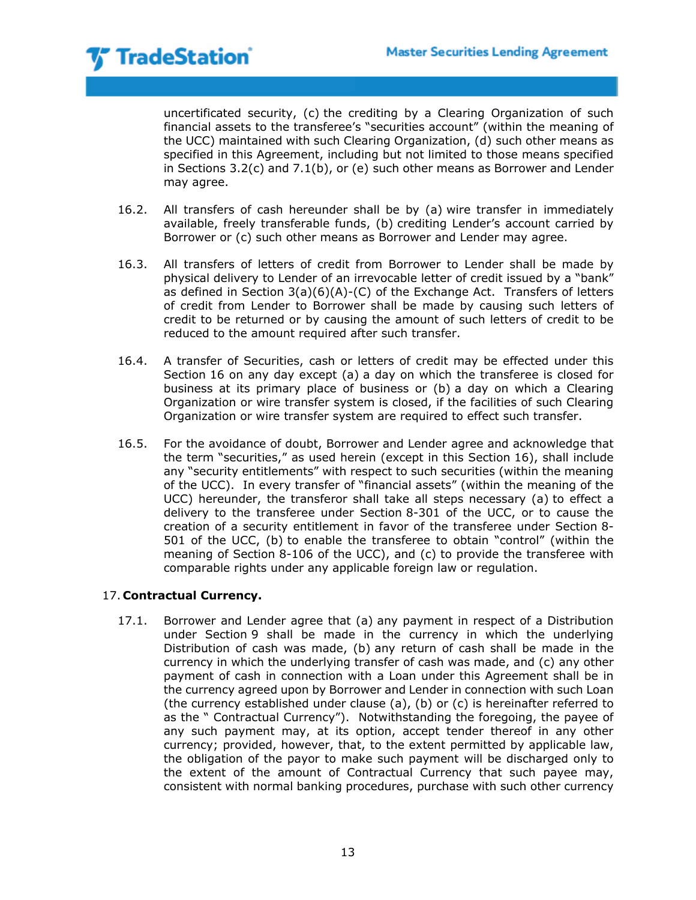uncertificated security, (c) the crediting by a Clearing Organization of such financial assets to the transferee's "securities account" (within the meaning of the UCC) maintained with such Clearing Organization, (d) such other means as specified in this Agreement, including but not limited to those means specified in Sections 3.2(c) and 7.1(b), or (e) such other means as Borrower and Lender may agree.

- 16.2. All transfers of cash hereunder shall be by (a) wire transfer in immediately available, freely transferable funds, (b) crediting Lender's account carried by Borrower or (c) such other means as Borrower and Lender may agree.
- 16.3. All transfers of letters of credit from Borrower to Lender shall be made by physical delivery to Lender of an irrevocable letter of credit issued by a "bank" as defined in Section  $3(a)(6)(A)-(C)$  of the Exchange Act. Transfers of letters of credit from Lender to Borrower shall be made by causing such letters of credit to be returned or by causing the amount of such letters of credit to be reduced to the amount required after such transfer.
- 16.4. A transfer of Securities, cash or letters of credit may be effected under this Section 16 on any day except (a) a day on which the transferee is closed for business at its primary place of business or (b) a day on which a Clearing Organization or wire transfer system is closed, if the facilities of such Clearing Organization or wire transfer system are required to effect such transfer.
- 16.5. For the avoidance of doubt, Borrower and Lender agree and acknowledge that the term "securities," as used herein (except in this Section 16), shall include any "security entitlements" with respect to such securities (within the meaning of the UCC). In every transfer of "financial assets" (within the meaning of the UCC) hereunder, the transferor shall take all steps necessary (a) to effect a delivery to the transferee under Section 8-301 of the UCC, or to cause the creation of a security entitlement in favor of the transferee under Section 8- 501 of the UCC, (b) to enable the transferee to obtain "control" (within the meaning of Section 8-106 of the UCC), and (c) to provide the transferee with comparable rights under any applicable foreign law or regulation.

## 17. **Contractual Currency.**

17.1. Borrower and Lender agree that (a) any payment in respect of a Distribution under Section 9 shall be made in the currency in which the underlying Distribution of cash was made, (b) any return of cash shall be made in the currency in which the underlying transfer of cash was made, and (c) any other payment of cash in connection with a Loan under this Agreement shall be in the currency agreed upon by Borrower and Lender in connection with such Loan (the currency established under clause (a), (b) or (c) is hereinafter referred to as the " Contractual Currency"). Notwithstanding the foregoing, the payee of any such payment may, at its option, accept tender thereof in any other currency; provided, however, that, to the extent permitted by applicable law, the obligation of the payor to make such payment will be discharged only to the extent of the amount of Contractual Currency that such payee may, consistent with normal banking procedures, purchase with such other currency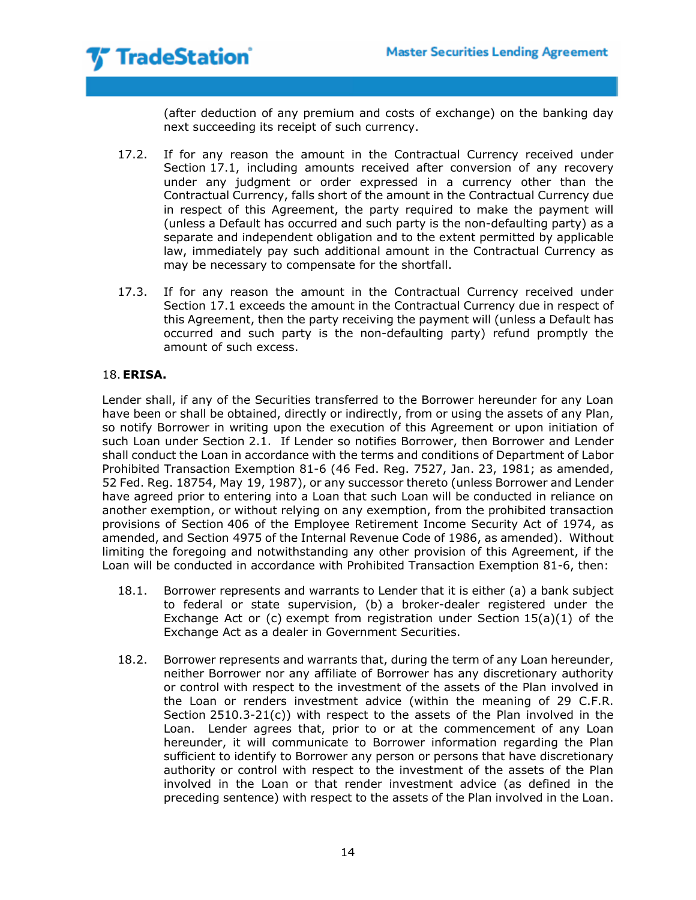

(after deduction of any premium and costs of exchange) on the banking day next succeeding its receipt of such currency.

- 17.2. If for any reason the amount in the Contractual Currency received under Section 17.1, including amounts received after conversion of any recovery under any judgment or order expressed in a currency other than the Contractual Currency, falls short of the amount in the Contractual Currency due in respect of this Agreement, the party required to make the payment will (unless a Default has occurred and such party is the non-defaulting party) as a separate and independent obligation and to the extent permitted by applicable law, immediately pay such additional amount in the Contractual Currency as may be necessary to compensate for the shortfall.
- 17.3. If for any reason the amount in the Contractual Currency received under Section 17.1 exceeds the amount in the Contractual Currency due in respect of this Agreement, then the party receiving the payment will (unless a Default has occurred and such party is the non-defaulting party) refund promptly the amount of such excess.

## 18.**ERISA.**

Lender shall, if any of the Securities transferred to the Borrower hereunder for any Loan have been or shall be obtained, directly or indirectly, from or using the assets of any Plan, so notify Borrower in writing upon the execution of this Agreement or upon initiation of such Loan under Section 2.1. If Lender so notifies Borrower, then Borrower and Lender shall conduct the Loan in accordance with the terms and conditions of Department of Labor Prohibited Transaction Exemption 81-6 (46 Fed. Reg. 7527, Jan. 23, 1981; as amended, 52 Fed. Reg. 18754, May 19, 1987), or any successor thereto (unless Borrower and Lender have agreed prior to entering into a Loan that such Loan will be conducted in reliance on another exemption, or without relying on any exemption, from the prohibited transaction provisions of Section 406 of the Employee Retirement Income Security Act of 1974, as amended, and Section 4975 of the Internal Revenue Code of 1986, as amended). Without limiting the foregoing and notwithstanding any other provision of this Agreement, if the Loan will be conducted in accordance with Prohibited Transaction Exemption 81-6, then:

- 18.1. Borrower represents and warrants to Lender that it is either (a) a bank subject to federal or state supervision, (b) a broker-dealer registered under the Exchange Act or (c) exempt from registration under Section  $15(a)(1)$  of the Exchange Act as a dealer in Government Securities.
- 18.2. Borrower represents and warrants that, during the term of any Loan hereunder, neither Borrower nor any affiliate of Borrower has any discretionary authority or control with respect to the investment of the assets of the Plan involved in the Loan or renders investment advice (within the meaning of 29 C.F.R. Section  $2510.3-21(c)$ ) with respect to the assets of the Plan involved in the Loan. Lender agrees that, prior to or at the commencement of any Loan hereunder, it will communicate to Borrower information regarding the Plan sufficient to identify to Borrower any person or persons that have discretionary authority or control with respect to the investment of the assets of the Plan involved in the Loan or that render investment advice (as defined in the preceding sentence) with respect to the assets of the Plan involved in the Loan.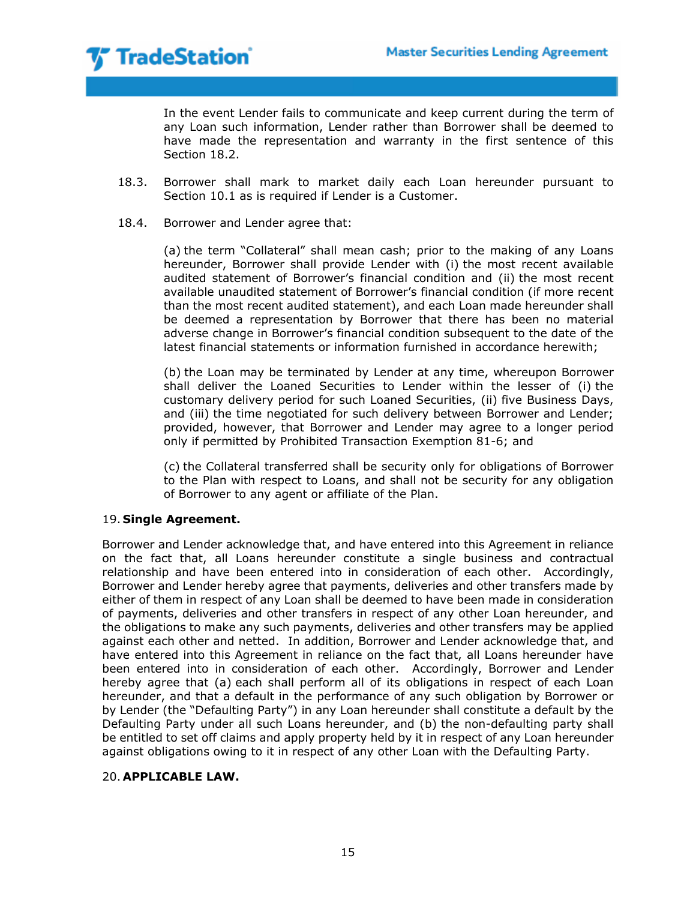In the event Lender fails to communicate and keep current during the term of any Loan such information, Lender rather than Borrower shall be deemed to have made the representation and warranty in the first sentence of this Section 18.2.

- 18.3. Borrower shall mark to market daily each Loan hereunder pursuant to Section 10.1 as is required if Lender is a Customer.
- 18.4. Borrower and Lender agree that:

(a) the term "Collateral" shall mean cash; prior to the making of any Loans hereunder, Borrower shall provide Lender with (i) the most recent available audited statement of Borrower's financial condition and (ii) the most recent available unaudited statement of Borrower's financial condition (if more recent than the most recent audited statement), and each Loan made hereunder shall be deemed a representation by Borrower that there has been no material adverse change in Borrower's financial condition subsequent to the date of the latest financial statements or information furnished in accordance herewith;

(b) the Loan may be terminated by Lender at any time, whereupon Borrower shall deliver the Loaned Securities to Lender within the lesser of (i) the customary delivery period for such Loaned Securities, (ii) five Business Days, and (iii) the time negotiated for such delivery between Borrower and Lender; provided, however, that Borrower and Lender may agree to a longer period only if permitted by Prohibited Transaction Exemption 81-6; and

(c) the Collateral transferred shall be security only for obligations of Borrower to the Plan with respect to Loans, and shall not be security for any obligation of Borrower to any agent or affiliate of the Plan.

## 19. **Single Agreement.**

Borrower and Lender acknowledge that, and have entered into this Agreement in reliance on the fact that, all Loans hereunder constitute a single business and contractual relationship and have been entered into in consideration of each other. Accordingly, Borrower and Lender hereby agree that payments, deliveries and other transfers made by either of them in respect of any Loan shall be deemed to have been made in consideration of payments, deliveries and other transfers in respect of any other Loan hereunder, and the obligations to make any such payments, deliveries and other transfers may be applied against each other and netted. In addition, Borrower and Lender acknowledge that, and have entered into this Agreement in reliance on the fact that, all Loans hereunder have been entered into in consideration of each other. Accordingly, Borrower and Lender hereby agree that (a) each shall perform all of its obligations in respect of each Loan hereunder, and that a default in the performance of any such obligation by Borrower or by Lender (the "Defaulting Party") in any Loan hereunder shall constitute a default by the Defaulting Party under all such Loans hereunder, and (b) the non-defaulting party shall be entitled to set off claims and apply property held by it in respect of any Loan hereunder against obligations owing to it in respect of any other Loan with the Defaulting Party.

## 20. **APPLICABLE LAW.**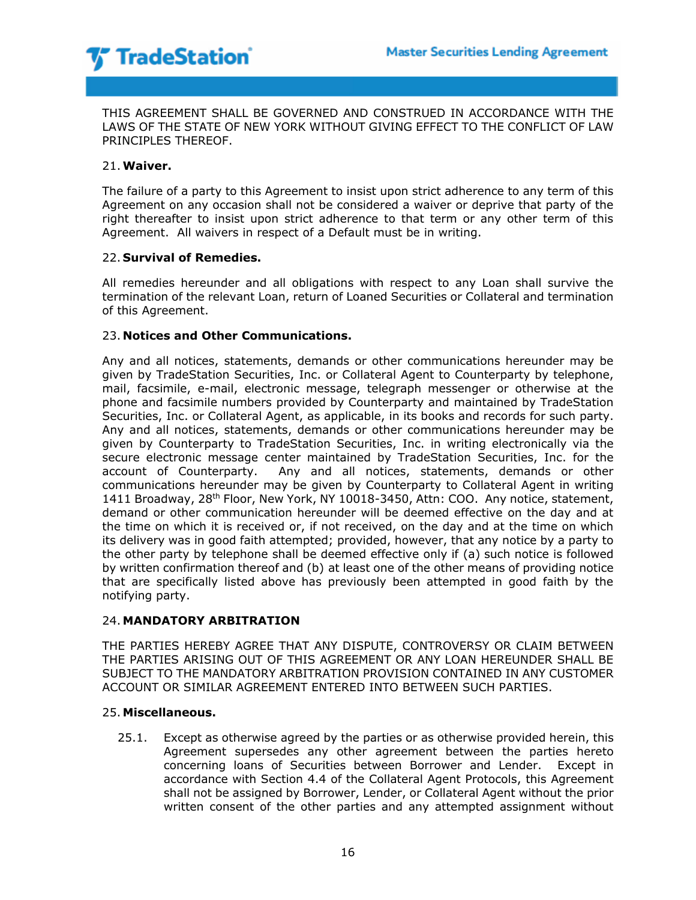THIS AGREEMENT SHALL BE GOVERNED AND CONSTRUED IN ACCORDANCE WITH THE LAWS OF THE STATE OF NEW YORK WITHOUT GIVING EFFECT TO THE CONFLICT OF LAW PRINCIPLES THEREOF.

## 21.**Waiver.**

The failure of a party to this Agreement to insist upon strict adherence to any term of this Agreement on any occasion shall not be considered a waiver or deprive that party of the right thereafter to insist upon strict adherence to that term or any other term of this Agreement. All waivers in respect of a Default must be in writing.

### 22. **Survival of Remedies.**

All remedies hereunder and all obligations with respect to any Loan shall survive the termination of the relevant Loan, return of Loaned Securities or Collateral and termination of this Agreement.

### 23. **Notices and Other Communications.**

Any and all notices, statements, demands or other communications hereunder may be given by TradeStation Securities, Inc. or Collateral Agent to Counterparty by telephone, mail, facsimile, e-mail, electronic message, telegraph messenger or otherwise at the phone and facsimile numbers provided by Counterparty and maintained by TradeStation Securities, Inc. or Collateral Agent, as applicable, in its books and records for such party. Any and all notices, statements, demands or other communications hereunder may be given by Counterparty to TradeStation Securities, Inc. in writing electronically via the secure electronic message center maintained by TradeStation Securities, Inc. for the account of Counterparty. Any and all notices, statements, demands or other communications hereunder may be given by Counterparty to Collateral Agent in writing 1411 Broadway, 28<sup>th</sup> Floor, New York, NY 10018-3450, Attn: COO. Any notice, statement, demand or other communication hereunder will be deemed effective on the day and at the time on which it is received or, if not received, on the day and at the time on which its delivery was in good faith attempted; provided, however, that any notice by a party to the other party by telephone shall be deemed effective only if (a) such notice is followed by written confirmation thereof and (b) at least one of the other means of providing notice that are specifically listed above has previously been attempted in good faith by the notifying party.

## 24. **MANDATORY ARBITRATION**

THE PARTIES HEREBY AGREE THAT ANY DISPUTE, CONTROVERSY OR CLAIM BETWEEN THE PARTIES ARISING OUT OF THIS AGREEMENT OR ANY LOAN HEREUNDER SHALL BE SUBJECT TO THE MANDATORY ARBITRATION PROVISION CONTAINED IN ANY CUSTOMER ACCOUNT OR SIMILAR AGREEMENT ENTERED INTO BETWEEN SUCH PARTIES.

### 25. **Miscellaneous.**

25.1. Except as otherwise agreed by the parties or as otherwise provided herein, this Agreement supersedes any other agreement between the parties hereto concerning loans of Securities between Borrower and Lender. Except in accordance with Section 4.4 of the Collateral Agent Protocols, this Agreement shall not be assigned by Borrower, Lender, or Collateral Agent without the prior written consent of the other parties and any attempted assignment without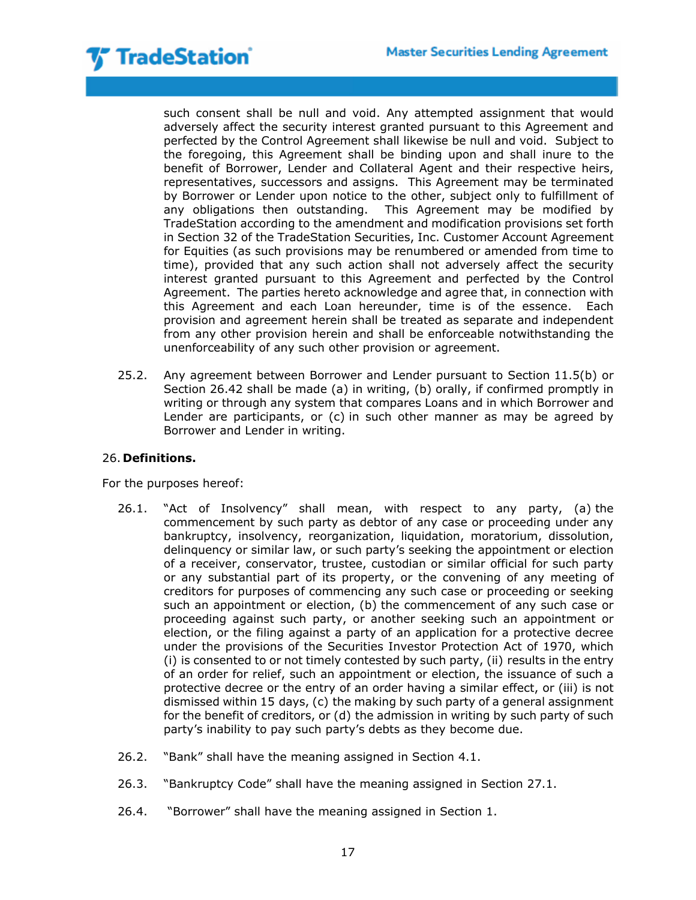such consent shall be null and void. Any attempted assignment that would adversely affect the security interest granted pursuant to this Agreement and perfected by the Control Agreement shall likewise be null and void. Subject to the foregoing, this Agreement shall be binding upon and shall inure to the benefit of Borrower, Lender and Collateral Agent and their respective heirs, representatives, successors and assigns. This Agreement may be terminated by Borrower or Lender upon notice to the other, subject only to fulfillment of any obligations then outstanding. This Agreement may be modified by TradeStation according to the amendment and modification provisions set forth in Section 32 of the TradeStation Securities, Inc. Customer Account Agreement for Equities (as such provisions may be renumbered or amended from time to time), provided that any such action shall not adversely affect the security interest granted pursuant to this Agreement and perfected by the Control Agreement. The parties hereto acknowledge and agree that, in connection with this Agreement and each Loan hereunder, time is of the essence. Each provision and agreement herein shall be treated as separate and independent from any other provision herein and shall be enforceable notwithstanding the unenforceability of any such other provision or agreement.

25.2. Any agreement between Borrower and Lender pursuant to Section 11.5(b) or Section 26.42 shall be made (a) in writing, (b) orally, if confirmed promptly in writing or through any system that compares Loans and in which Borrower and Lender are participants, or (c) in such other manner as may be agreed by Borrower and Lender in writing.

## 26. **Definitions.**

For the purposes hereof:

- 26.1. "Act of Insolvency" shall mean, with respect to any party, (a) the commencement by such party as debtor of any case or proceeding under any bankruptcy, insolvency, reorganization, liquidation, moratorium, dissolution, delinquency or similar law, or such party's seeking the appointment or election of a receiver, conservator, trustee, custodian or similar official for such party or any substantial part of its property, or the convening of any meeting of creditors for purposes of commencing any such case or proceeding or seeking such an appointment or election, (b) the commencement of any such case or proceeding against such party, or another seeking such an appointment or election, or the filing against a party of an application for a protective decree under the provisions of the Securities Investor Protection Act of 1970, which (i) is consented to or not timely contested by such party, (ii) results in the entry of an order for relief, such an appointment or election, the issuance of such a protective decree or the entry of an order having a similar effect, or (iii) is not dismissed within 15 days, (c) the making by such party of a general assignment for the benefit of creditors, or (d) the admission in writing by such party of such party's inability to pay such party's debts as they become due.
- 26.2. "Bank" shall have the meaning assigned in Section 4.1.
- 26.3. "Bankruptcy Code" shall have the meaning assigned in Section 27.1.
- 26.4. "Borrower" shall have the meaning assigned in Section 1.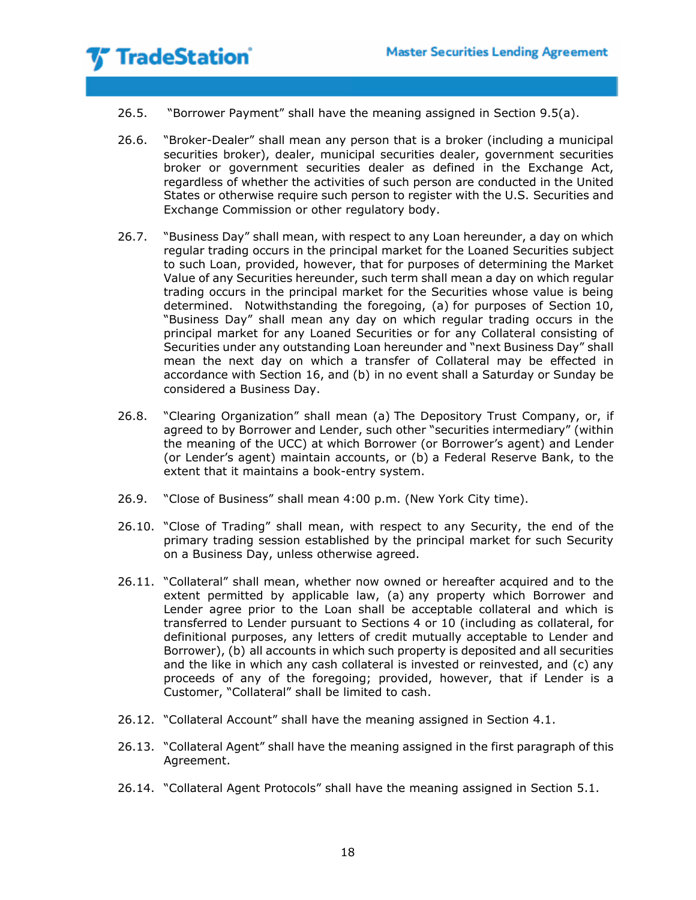- 26.5. "Borrower Payment" shall have the meaning assigned in Section 9.5(a).
- 26.6. "Broker-Dealer" shall mean any person that is a broker (including a municipal securities broker), dealer, municipal securities dealer, government securities broker or government securities dealer as defined in the Exchange Act, regardless of whether the activities of such person are conducted in the United States or otherwise require such person to register with the U.S. Securities and Exchange Commission or other regulatory body.
- 26.7. "Business Day" shall mean, with respect to any Loan hereunder, a day on which regular trading occurs in the principal market for the Loaned Securities subject to such Loan, provided, however, that for purposes of determining the Market Value of any Securities hereunder, such term shall mean a day on which regular trading occurs in the principal market for the Securities whose value is being determined. Notwithstanding the foregoing, (a) for purposes of Section 10, "Business Day" shall mean any day on which regular trading occurs in the principal market for any Loaned Securities or for any Collateral consisting of Securities under any outstanding Loan hereunder and "next Business Day" shall mean the next day on which a transfer of Collateral may be effected in accordance with Section 16, and (b) in no event shall a Saturday or Sunday be considered a Business Day.
- 26.8. "Clearing Organization" shall mean (a) The Depository Trust Company, or, if agreed to by Borrower and Lender, such other "securities intermediary" (within the meaning of the UCC) at which Borrower (or Borrower's agent) and Lender (or Lender's agent) maintain accounts, or (b) a Federal Reserve Bank, to the extent that it maintains a book-entry system.
- 26.9. "Close of Business" shall mean 4:00 p.m. (New York City time).
- 26.10. "Close of Trading" shall mean, with respect to any Security, the end of the primary trading session established by the principal market for such Security on a Business Day, unless otherwise agreed.
- 26.11. "Collateral" shall mean, whether now owned or hereafter acquired and to the extent permitted by applicable law, (a) any property which Borrower and Lender agree prior to the Loan shall be acceptable collateral and which is transferred to Lender pursuant to Sections 4 or 10 (including as collateral, for definitional purposes, any letters of credit mutually acceptable to Lender and Borrower), (b) all accounts in which such property is deposited and all securities and the like in which any cash collateral is invested or reinvested, and (c) any proceeds of any of the foregoing; provided, however, that if Lender is a Customer, "Collateral" shall be limited to cash.
- 26.12. "Collateral Account" shall have the meaning assigned in Section 4.1.
- 26.13. "Collateral Agent" shall have the meaning assigned in the first paragraph of this Agreement.
- 26.14. "Collateral Agent Protocols" shall have the meaning assigned in Section 5.1.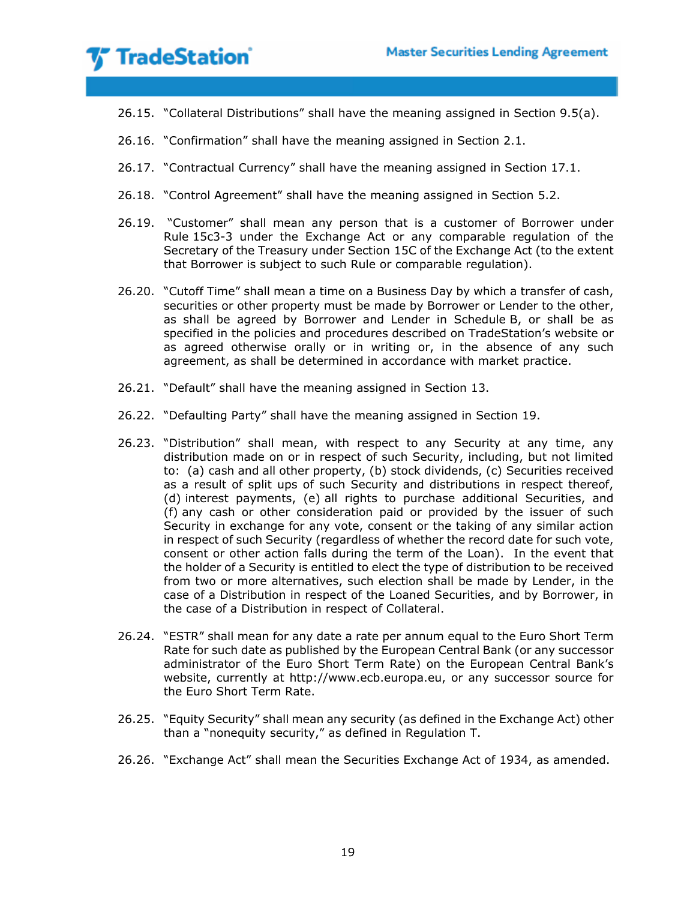- 26.15. "Collateral Distributions" shall have the meaning assigned in Section 9.5(a).
- 26.16. "Confirmation" shall have the meaning assigned in Section 2.1.
- 26.17. "Contractual Currency" shall have the meaning assigned in Section 17.1.
- 26.18. "Control Agreement" shall have the meaning assigned in Section 5.2.
- 26.19. "Customer" shall mean any person that is a customer of Borrower under Rule 15c3-3 under the Exchange Act or any comparable regulation of the Secretary of the Treasury under Section 15C of the Exchange Act (to the extent that Borrower is subject to such Rule or comparable regulation).
- 26.20. "Cutoff Time" shall mean a time on a Business Day by which a transfer of cash, securities or other property must be made by Borrower or Lender to the other, as shall be agreed by Borrower and Lender in Schedule B, or shall be as specified in the policies and procedures described on TradeStation's website or as agreed otherwise orally or in writing or, in the absence of any such agreement, as shall be determined in accordance with market practice.
- 26.21. "Default" shall have the meaning assigned in Section 13.
- 26.22. "Defaulting Party" shall have the meaning assigned in Section 19.
- 26.23. "Distribution" shall mean, with respect to any Security at any time, any distribution made on or in respect of such Security, including, but not limited to: (a) cash and all other property, (b) stock dividends, (c) Securities received as a result of split ups of such Security and distributions in respect thereof, (d) interest payments, (e) all rights to purchase additional Securities, and (f) any cash or other consideration paid or provided by the issuer of such Security in exchange for any vote, consent or the taking of any similar action in respect of such Security (regardless of whether the record date for such vote, consent or other action falls during the term of the Loan). In the event that the holder of a Security is entitled to elect the type of distribution to be received from two or more alternatives, such election shall be made by Lender, in the case of a Distribution in respect of the Loaned Securities, and by Borrower, in the case of a Distribution in respect of Collateral.
- 26.24. "ESTR" shall mean for any date a rate per annum equal to the Euro Short Term Rate for such date as published by the European Central Bank (or any successor administrator of the Euro Short Term Rate) on the European Central Bank's website, currently at http://www.ecb.europa.eu, or any successor source for the Euro Short Term Rate.
- 26.25. "Equity Security" shall mean any security (as defined in the Exchange Act) other than a "nonequity security," as defined in Regulation T.
- 26.26. "Exchange Act" shall mean the Securities Exchange Act of 1934, as amended.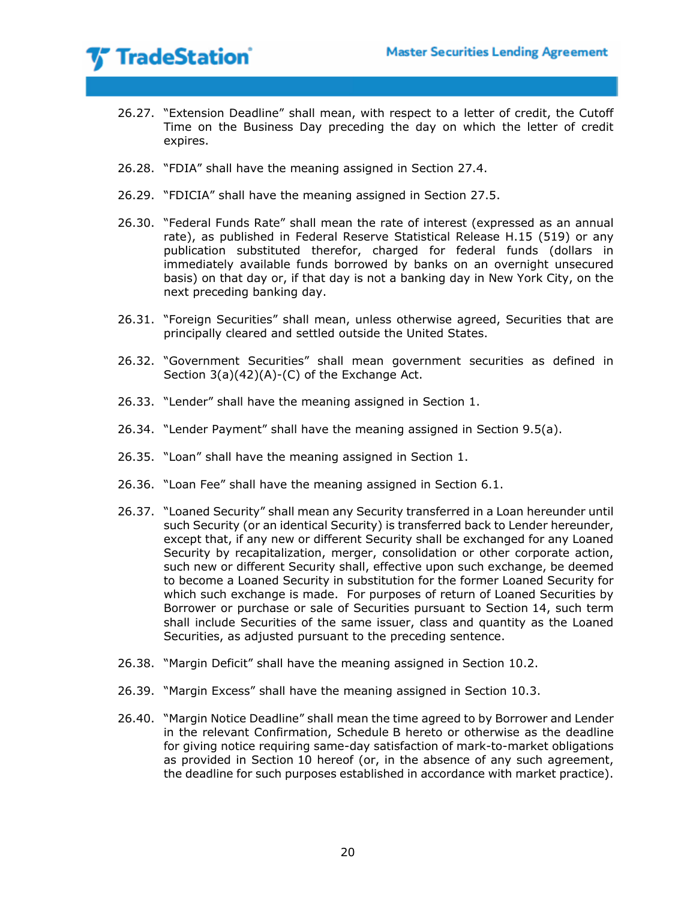- 26.27. "Extension Deadline" shall mean, with respect to a letter of credit, the Cutoff Time on the Business Day preceding the day on which the letter of credit expires.
- 26.28. "FDIA" shall have the meaning assigned in Section 27.4.
- 26.29. "FDICIA" shall have the meaning assigned in Section 27.5.
- 26.30. "Federal Funds Rate" shall mean the rate of interest (expressed as an annual rate), as published in Federal Reserve Statistical Release H.15 (519) or any publication substituted therefor, charged for federal funds (dollars in immediately available funds borrowed by banks on an overnight unsecured basis) on that day or, if that day is not a banking day in New York City, on the next preceding banking day.
- 26.31. "Foreign Securities" shall mean, unless otherwise agreed, Securities that are principally cleared and settled outside the United States.
- 26.32. "Government Securities" shall mean government securities as defined in Section 3(a)(42)(A)-(C) of the Exchange Act.
- 26.33. "Lender" shall have the meaning assigned in Section 1.
- 26.34. "Lender Payment" shall have the meaning assigned in Section 9.5(a).
- 26.35. "Loan" shall have the meaning assigned in Section 1.
- 26.36. "Loan Fee" shall have the meaning assigned in Section 6.1.
- 26.37. "Loaned Security" shall mean any Security transferred in a Loan hereunder until such Security (or an identical Security) is transferred back to Lender hereunder, except that, if any new or different Security shall be exchanged for any Loaned Security by recapitalization, merger, consolidation or other corporate action, such new or different Security shall, effective upon such exchange, be deemed to become a Loaned Security in substitution for the former Loaned Security for which such exchange is made. For purposes of return of Loaned Securities by Borrower or purchase or sale of Securities pursuant to Section 14, such term shall include Securities of the same issuer, class and quantity as the Loaned Securities, as adjusted pursuant to the preceding sentence.
- 26.38. "Margin Deficit" shall have the meaning assigned in Section 10.2.
- 26.39. "Margin Excess" shall have the meaning assigned in Section 10.3.
- 26.40. "Margin Notice Deadline" shall mean the time agreed to by Borrower and Lender in the relevant Confirmation, Schedule B hereto or otherwise as the deadline for giving notice requiring same-day satisfaction of mark-to-market obligations as provided in Section 10 hereof (or, in the absence of any such agreement, the deadline for such purposes established in accordance with market practice).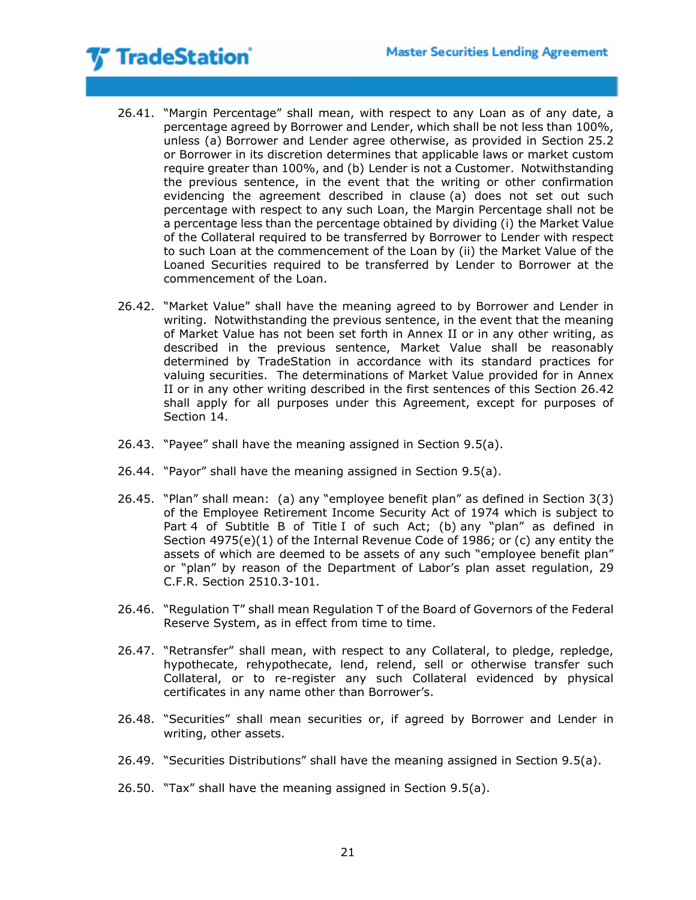- 26.41. "Margin Percentage" shall mean, with respect to any Loan as of any date, a percentage agreed by Borrower and Lender, which shall be not less than 100%, unless (a) Borrower and Lender agree otherwise, as provided in Section 25.2 or Borrower in its discretion determines that applicable laws or market custom require greater than 100%, and (b) Lender is not a Customer. Notwithstanding the previous sentence, in the event that the writing or other confirmation evidencing the agreement described in clause (a) does not set out such percentage with respect to any such Loan, the Margin Percentage shall not be a percentage less than the percentage obtained by dividing (i) the Market Value of the Collateral required to be transferred by Borrower to Lender with respect to such Loan at the commencement of the Loan by (ii) the Market Value of the Loaned Securities required to be transferred by Lender to Borrower at the commencement of the Loan.
- 26.42. "Market Value" shall have the meaning agreed to by Borrower and Lender in writing. Notwithstanding the previous sentence, in the event that the meaning of Market Value has not been set forth in Annex II or in any other writing, as described in the previous sentence, Market Value shall be reasonably determined by TradeStation in accordance with its standard practices for valuing securities. The determinations of Market Value provided for in Annex II or in any other writing described in the first sentences of this Section 26.42 shall apply for all purposes under this Agreement, except for purposes of Section 14.
- 26.43. "Payee" shall have the meaning assigned in Section 9.5(a).
- 26.44. "Payor" shall have the meaning assigned in Section 9.5(a).
- 26.45. "Plan" shall mean: (a) any "employee benefit plan" as defined in Section 3(3) of the Employee Retirement Income Security Act of 1974 which is subject to Part 4 of Subtitle B of Title I of such Act; (b) any "plan" as defined in Section 4975(e)(1) of the Internal Revenue Code of 1986; or (c) any entity the assets of which are deemed to be assets of any such "employee benefit plan" or "plan" by reason of the Department of Labor's plan asset regulation, 29 C.F.R. Section 2510.3-101.
- 26.46. "Regulation T" shall mean Regulation T of the Board of Governors of the Federal Reserve System, as in effect from time to time.
- 26.47. "Retransfer" shall mean, with respect to any Collateral, to pledge, repledge, hypothecate, rehypothecate, lend, relend, sell or otherwise transfer such Collateral, or to re-register any such Collateral evidenced by physical certificates in any name other than Borrower's.
- 26.48. "Securities" shall mean securities or, if agreed by Borrower and Lender in writing, other assets.
- 26.49. "Securities Distributions" shall have the meaning assigned in Section 9.5(a).
- 26.50. "Tax" shall have the meaning assigned in Section 9.5(a).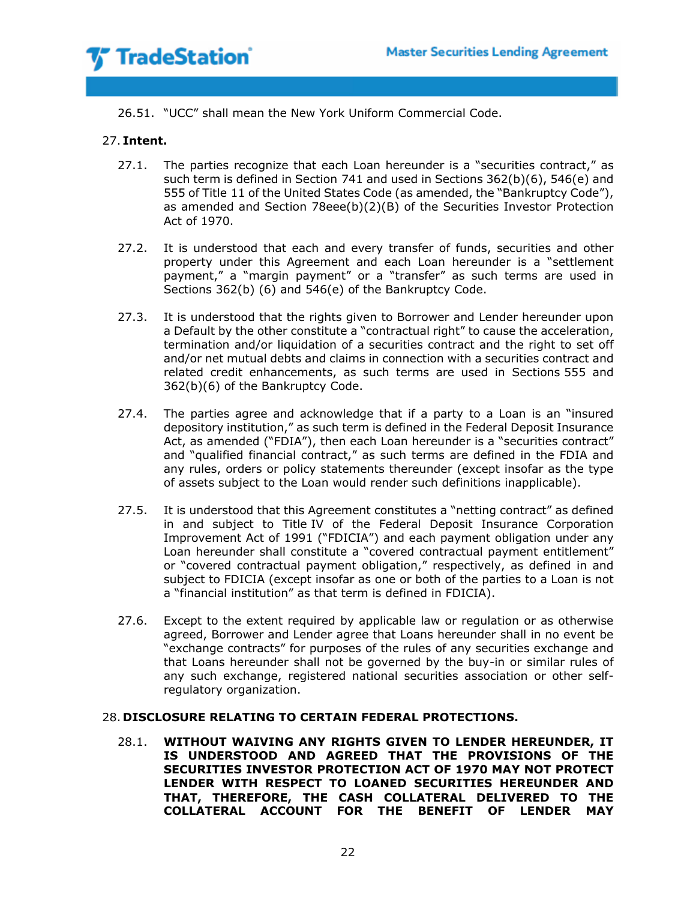

26.51. "UCC" shall mean the New York Uniform Commercial Code.

## 27. **Intent.**

- 27.1. The parties recognize that each Loan hereunder is a "securities contract," as such term is defined in Section 741 and used in Sections 362(b)(6), 546(e) and 555 of Title 11 of the United States Code (as amended, the "Bankruptcy Code"), as amended and Section 78eee(b)(2)(B) of the Securities Investor Protection Act of 1970.
- 27.2. It is understood that each and every transfer of funds, securities and other property under this Agreement and each Loan hereunder is a "settlement payment," a "margin payment" or a "transfer" as such terms are used in Sections 362(b) (6) and 546(e) of the Bankruptcy Code.
- 27.3. It is understood that the rights given to Borrower and Lender hereunder upon a Default by the other constitute a "contractual right" to cause the acceleration, termination and/or liquidation of a securities contract and the right to set off and/or net mutual debts and claims in connection with a securities contract and related credit enhancements, as such terms are used in Sections 555 and 362(b)(6) of the Bankruptcy Code.
- 27.4. The parties agree and acknowledge that if a party to a Loan is an "insured depository institution," as such term is defined in the Federal Deposit Insurance Act, as amended ("FDIA"), then each Loan hereunder is a "securities contract" and "qualified financial contract," as such terms are defined in the FDIA and any rules, orders or policy statements thereunder (except insofar as the type of assets subject to the Loan would render such definitions inapplicable).
- 27.5. It is understood that this Agreement constitutes a "netting contract" as defined in and subject to Title IV of the Federal Deposit Insurance Corporation Improvement Act of 1991 ("FDICIA") and each payment obligation under any Loan hereunder shall constitute a "covered contractual payment entitlement" or "covered contractual payment obligation," respectively, as defined in and subject to FDICIA (except insofar as one or both of the parties to a Loan is not a "financial institution" as that term is defined in FDICIA).
- 27.6. Except to the extent required by applicable law or regulation or as otherwise agreed, Borrower and Lender agree that Loans hereunder shall in no event be "exchange contracts" for purposes of the rules of any securities exchange and that Loans hereunder shall not be governed by the buy-in or similar rules of any such exchange, registered national securities association or other selfregulatory organization.

### 28. **DISCLOSURE RELATING TO CERTAIN FEDERAL PROTECTIONS.**

28.1. **WITHOUT WAIVING ANY RIGHTS GIVEN TO LENDER HEREUNDER, IT IS UNDERSTOOD AND AGREED THAT THE PROVISIONS OF THE SECURITIES INVESTOR PROTECTION ACT OF 1970 MAY NOT PROTECT LENDER WITH RESPECT TO LOANED SECURITIES HEREUNDER AND THAT, THEREFORE, THE CASH COLLATERAL DELIVERED TO THE COLLATERAL ACCOUNT FOR THE BENEFIT OF LENDER MAY**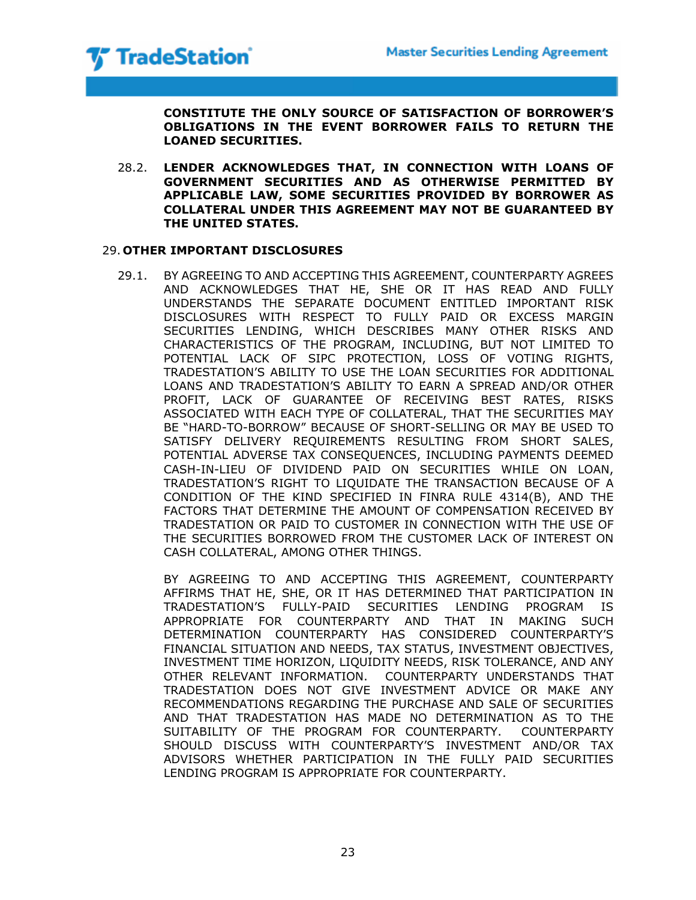

**CONSTITUTE THE ONLY SOURCE OF SATISFACTION OF BORROWER'S OBLIGATIONS IN THE EVENT BORROWER FAILS TO RETURN THE LOANED SECURITIES.**

28.2. **LENDER ACKNOWLEDGES THAT, IN CONNECTION WITH LOANS OF GOVERNMENT SECURITIES AND AS OTHERWISE PERMITTED BY APPLICABLE LAW, SOME SECURITIES PROVIDED BY BORROWER AS COLLATERAL UNDER THIS AGREEMENT MAY NOT BE GUARANTEED BY THE UNITED STATES.**

## 29. **OTHER IMPORTANT DISCLOSURES**

29.1. BY AGREEING TO AND ACCEPTING THIS AGREEMENT, COUNTERPARTY AGREES AND ACKNOWLEDGES THAT HE, SHE OR IT HAS READ AND FULLY UNDERSTANDS THE SEPARATE DOCUMENT ENTITLED IMPORTANT RISK DISCLOSURES WITH RESPECT TO FULLY PAID OR EXCESS MARGIN SECURITIES LENDING, WHICH DESCRIBES MANY OTHER RISKS AND CHARACTERISTICS OF THE PROGRAM, INCLUDING, BUT NOT LIMITED TO POTENTIAL LACK OF SIPC PROTECTION, LOSS OF VOTING RIGHTS, TRADESTATION'S ABILITY TO USE THE LOAN SECURITIES FOR ADDITIONAL LOANS AND TRADESTATION'S ABILITY TO EARN A SPREAD AND/OR OTHER PROFIT, LACK OF GUARANTEE OF RECEIVING BEST RATES, RISKS ASSOCIATED WITH EACH TYPE OF COLLATERAL, THAT THE SECURITIES MAY BE "HARD-TO-BORROW" BECAUSE OF SHORT-SELLING OR MAY BE USED TO SATISFY DELIVERY REQUIREMENTS RESULTING FROM SHORT SALES, POTENTIAL ADVERSE TAX CONSEQUENCES, INCLUDING PAYMENTS DEEMED CASH-IN-LIEU OF DIVIDEND PAID ON SECURITIES WHILE ON LOAN, TRADESTATION'S RIGHT TO LIQUIDATE THE TRANSACTION BECAUSE OF A CONDITION OF THE KIND SPECIFIED IN FINRA RULE 4314(B), AND THE FACTORS THAT DETERMINE THE AMOUNT OF COMPENSATION RECEIVED BY TRADESTATION OR PAID TO CUSTOMER IN CONNECTION WITH THE USE OF THE SECURITIES BORROWED FROM THE CUSTOMER LACK OF INTEREST ON CASH COLLATERAL, AMONG OTHER THINGS.

BY AGREEING TO AND ACCEPTING THIS AGREEMENT, COUNTERPARTY AFFIRMS THAT HE, SHE, OR IT HAS DETERMINED THAT PARTICIPATION IN TRADESTATION'S FULLY-PAID SECURITIES LENDING PROGRAM IS APPROPRIATE FOR COUNTERPARTY AND THAT IN MAKING SUCH DETERMINATION COUNTERPARTY HAS CONSIDERED COUNTERPARTY'S FINANCIAL SITUATION AND NEEDS, TAX STATUS, INVESTMENT OBJECTIVES, INVESTMENT TIME HORIZON, LIQUIDITY NEEDS, RISK TOLERANCE, AND ANY OTHER RELEVANT INFORMATION. COUNTERPARTY UNDERSTANDS THAT TRADESTATION DOES NOT GIVE INVESTMENT ADVICE OR MAKE ANY RECOMMENDATIONS REGARDING THE PURCHASE AND SALE OF SECURITIES AND THAT TRADESTATION HAS MADE NO DETERMINATION AS TO THE SUITABILITY OF THE PROGRAM FOR COUNTERPARTY. COUNTERPARTY SHOULD DISCUSS WITH COUNTERPARTY'S INVESTMENT AND/OR TAX ADVISORS WHETHER PARTICIPATION IN THE FULLY PAID SECURITIES LENDING PROGRAM IS APPROPRIATE FOR COUNTERPARTY.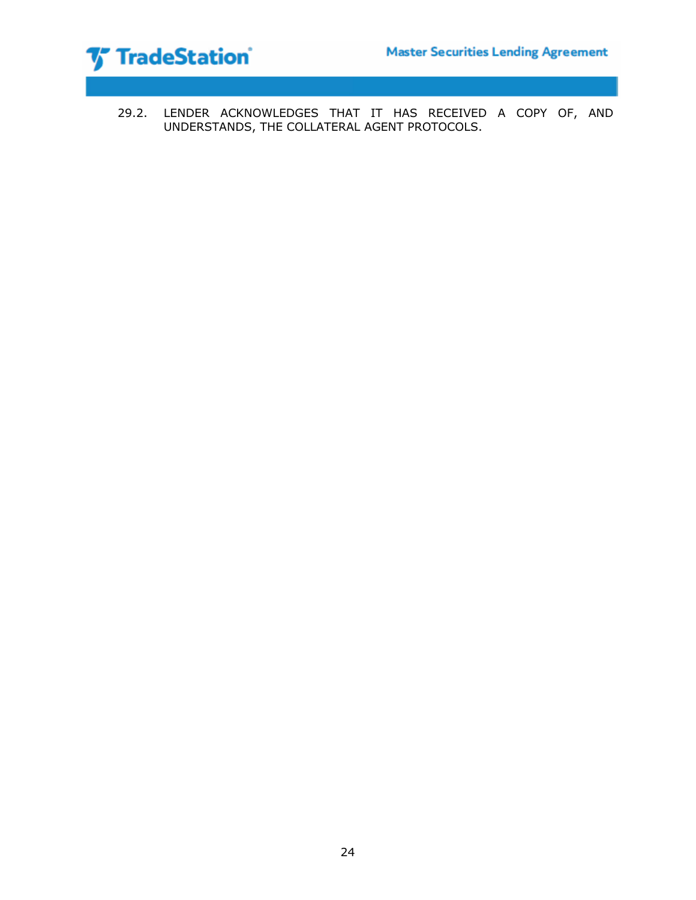



29.2. LENDER ACKNOWLEDGES THAT IT HAS RECEIVED A COPY OF, AND UNDERSTANDS, THE COLLATERAL AGENT PROTOCOLS.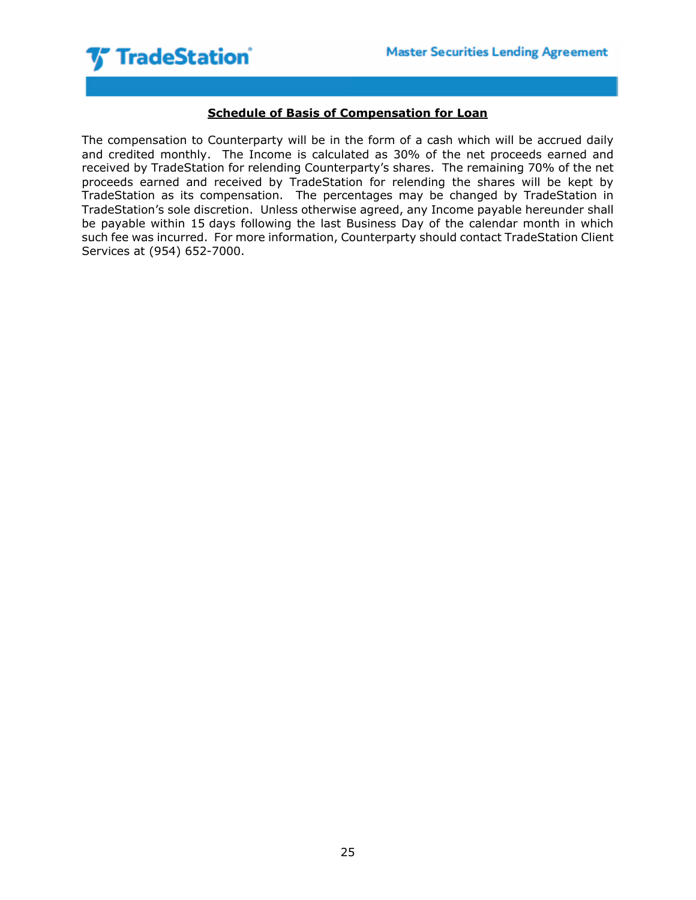

# **Schedule of Basis of Compensation for Loan**

The compensation to Counterparty will be in the form of a cash which will be accrued daily and credited monthly. The Income is calculated as 30% of the net proceeds earned and received by TradeStation for relending Counterparty's shares. The remaining 70% of the net proceeds earned and received by TradeStation for relending the shares will be kept by TradeStation as its compensation. The percentages may be changed by TradeStation in TradeStation's sole discretion. Unless otherwise agreed, any Income payable hereunder shall be payable within 15 days following the last Business Day of the calendar month in which such fee was incurred. For more information, Counterparty should contact TradeStation Client Services at (954) 652-7000.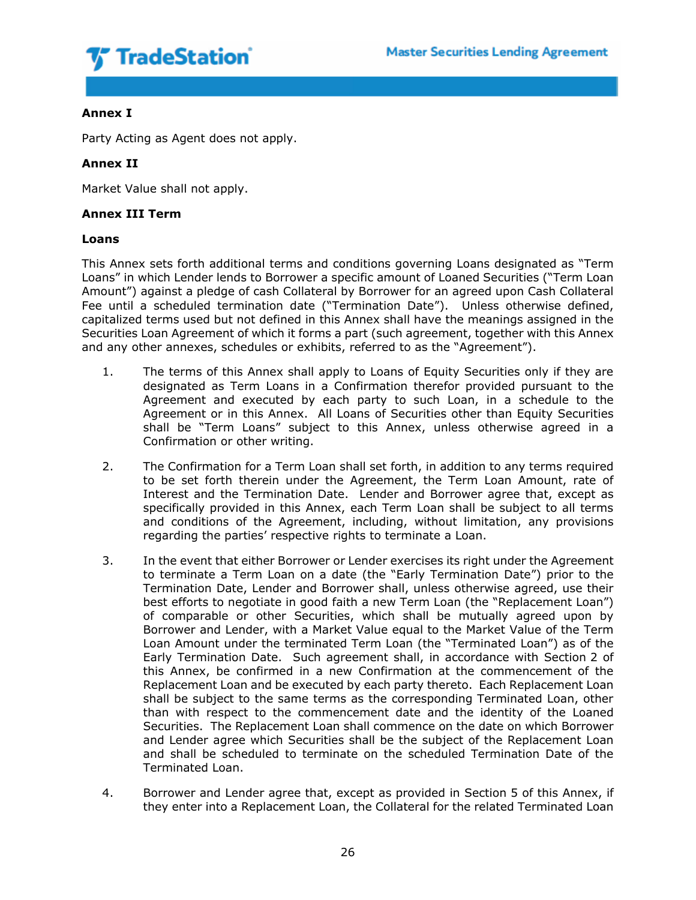

# **Annex I**

Party Acting as Agent does not apply.

# **Annex II**

Market Value shall not apply.

## **Annex III Term**

## **Loans**

This Annex sets forth additional terms and conditions governing Loans designated as "Term Loans" in which Lender lends to Borrower a specific amount of Loaned Securities ("Term Loan Amount") against a pledge of cash Collateral by Borrower for an agreed upon Cash Collateral Fee until a scheduled termination date ("Termination Date"). Unless otherwise defined, capitalized terms used but not defined in this Annex shall have the meanings assigned in the Securities Loan Agreement of which it forms a part (such agreement, together with this Annex and any other annexes, schedules or exhibits, referred to as the "Agreement").

- 1. The terms of this Annex shall apply to Loans of Equity Securities only if they are designated as Term Loans in a Confirmation therefor provided pursuant to the Agreement and executed by each party to such Loan, in a schedule to the Agreement or in this Annex. All Loans of Securities other than Equity Securities shall be "Term Loans" subject to this Annex, unless otherwise agreed in a Confirmation or other writing.
- 2. The Confirmation for a Term Loan shall set forth, in addition to any terms required to be set forth therein under the Agreement, the Term Loan Amount, rate of Interest and the Termination Date. Lender and Borrower agree that, except as specifically provided in this Annex, each Term Loan shall be subject to all terms and conditions of the Agreement, including, without limitation, any provisions regarding the parties' respective rights to terminate a Loan.
- 3. In the event that either Borrower or Lender exercises its right under the Agreement to terminate a Term Loan on a date (the "Early Termination Date") prior to the Termination Date, Lender and Borrower shall, unless otherwise agreed, use their best efforts to negotiate in good faith a new Term Loan (the "Replacement Loan") of comparable or other Securities, which shall be mutually agreed upon by Borrower and Lender, with a Market Value equal to the Market Value of the Term Loan Amount under the terminated Term Loan (the "Terminated Loan") as of the Early Termination Date. Such agreement shall, in accordance with Section 2 of this Annex, be confirmed in a new Confirmation at the commencement of the Replacement Loan and be executed by each party thereto. Each Replacement Loan shall be subject to the same terms as the corresponding Terminated Loan, other than with respect to the commencement date and the identity of the Loaned Securities. The Replacement Loan shall commence on the date on which Borrower and Lender agree which Securities shall be the subject of the Replacement Loan and shall be scheduled to terminate on the scheduled Termination Date of the Terminated Loan.
- 4. Borrower and Lender agree that, except as provided in Section 5 of this Annex, if they enter into a Replacement Loan, the Collateral for the related Terminated Loan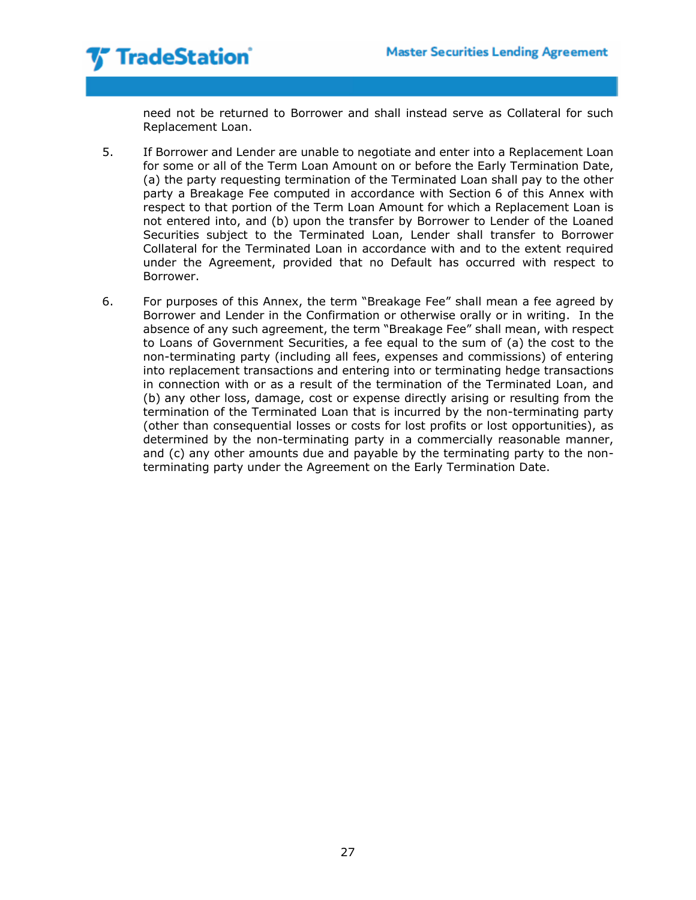need not be returned to Borrower and shall instead serve as Collateral for such Replacement Loan.

- 5. If Borrower and Lender are unable to negotiate and enter into a Replacement Loan for some or all of the Term Loan Amount on or before the Early Termination Date, (a) the party requesting termination of the Terminated Loan shall pay to the other party a Breakage Fee computed in accordance with Section 6 of this Annex with respect to that portion of the Term Loan Amount for which a Replacement Loan is not entered into, and (b) upon the transfer by Borrower to Lender of the Loaned Securities subject to the Terminated Loan, Lender shall transfer to Borrower Collateral for the Terminated Loan in accordance with and to the extent required under the Agreement, provided that no Default has occurred with respect to Borrower.
- 6. For purposes of this Annex, the term "Breakage Fee" shall mean a fee agreed by Borrower and Lender in the Confirmation or otherwise orally or in writing. In the absence of any such agreement, the term "Breakage Fee" shall mean, with respect to Loans of Government Securities, a fee equal to the sum of (a) the cost to the non-terminating party (including all fees, expenses and commissions) of entering into replacement transactions and entering into or terminating hedge transactions in connection with or as a result of the termination of the Terminated Loan, and (b) any other loss, damage, cost or expense directly arising or resulting from the termination of the Terminated Loan that is incurred by the non-terminating party (other than consequential losses or costs for lost profits or lost opportunities), as determined by the non-terminating party in a commercially reasonable manner, and (c) any other amounts due and payable by the terminating party to the nonterminating party under the Agreement on the Early Termination Date.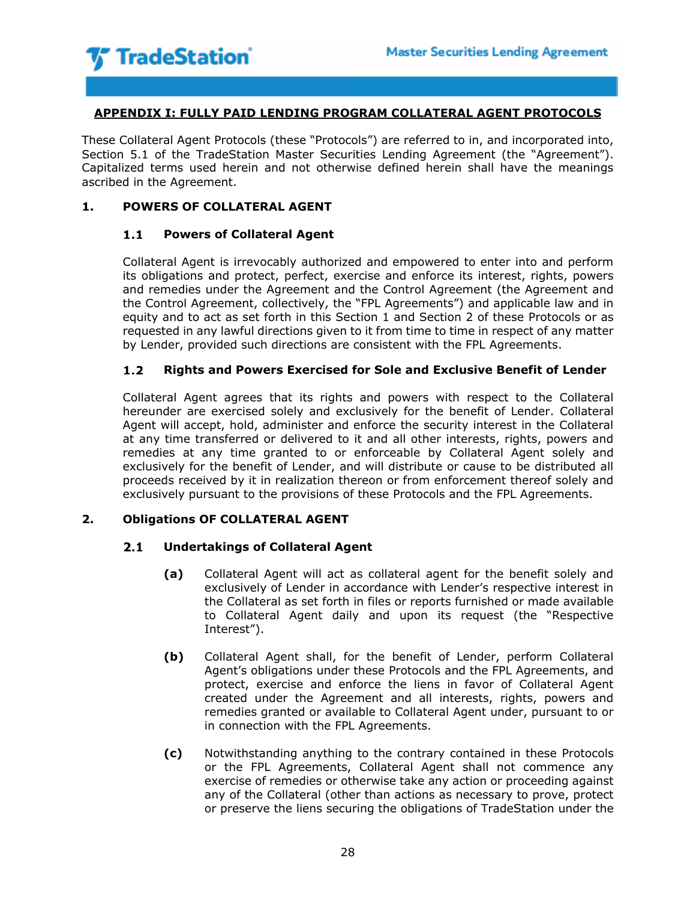

# **APPENDIX I: FULLY PAID LENDING PROGRAM COLLATERAL AGENT PROTOCOLS**

These Collateral Agent Protocols (these "Protocols") are referred to in, and incorporated into, Section 5.1 of the TradeStation Master Securities Lending Agreement (the "Agreement"). Capitalized terms used herein and not otherwise defined herein shall have the meanings ascribed in the Agreement.

## **1. POWERS OF COLLATERAL AGENT**

### $1.1$ **Powers of Collateral Agent**

Collateral Agent is irrevocably authorized and empowered to enter into and perform its obligations and protect, perfect, exercise and enforce its interest, rights, powers and remedies under the Agreement and the Control Agreement (the Agreement and the Control Agreement, collectively, the "FPL Agreements") and applicable law and in equity and to act as set forth in this Section 1 and Section 2 of these Protocols or as requested in any lawful directions given to it from time to time in respect of any matter by Lender, provided such directions are consistent with the FPL Agreements.

### $1.2$ **Rights and Powers Exercised for Sole and Exclusive Benefit of Lender**

Collateral Agent agrees that its rights and powers with respect to the Collateral hereunder are exercised solely and exclusively for the benefit of Lender. Collateral Agent will accept, hold, administer and enforce the security interest in the Collateral at any time transferred or delivered to it and all other interests, rights, powers and remedies at any time granted to or enforceable by Collateral Agent solely and exclusively for the benefit of Lender, and will distribute or cause to be distributed all proceeds received by it in realization thereon or from enforcement thereof solely and exclusively pursuant to the provisions of these Protocols and the FPL Agreements.

# **2. Obligations OF COLLATERAL AGENT**

#### $2.1$ **Undertakings of Collateral Agent**

- **(a)** Collateral Agent will act as collateral agent for the benefit solely and exclusively of Lender in accordance with Lender's respective interest in the Collateral as set forth in files or reports furnished or made available to Collateral Agent daily and upon its request (the "Respective Interest").
- **(b)** Collateral Agent shall, for the benefit of Lender, perform Collateral Agent's obligations under these Protocols and the FPL Agreements, and protect, exercise and enforce the liens in favor of Collateral Agent created under the Agreement and all interests, rights, powers and remedies granted or available to Collateral Agent under, pursuant to or in connection with the FPL Agreements.
- **(c)** Notwithstanding anything to the contrary contained in these Protocols or the FPL Agreements, Collateral Agent shall not commence any exercise of remedies or otherwise take any action or proceeding against any of the Collateral (other than actions as necessary to prove, protect or preserve the liens securing the obligations of TradeStation under the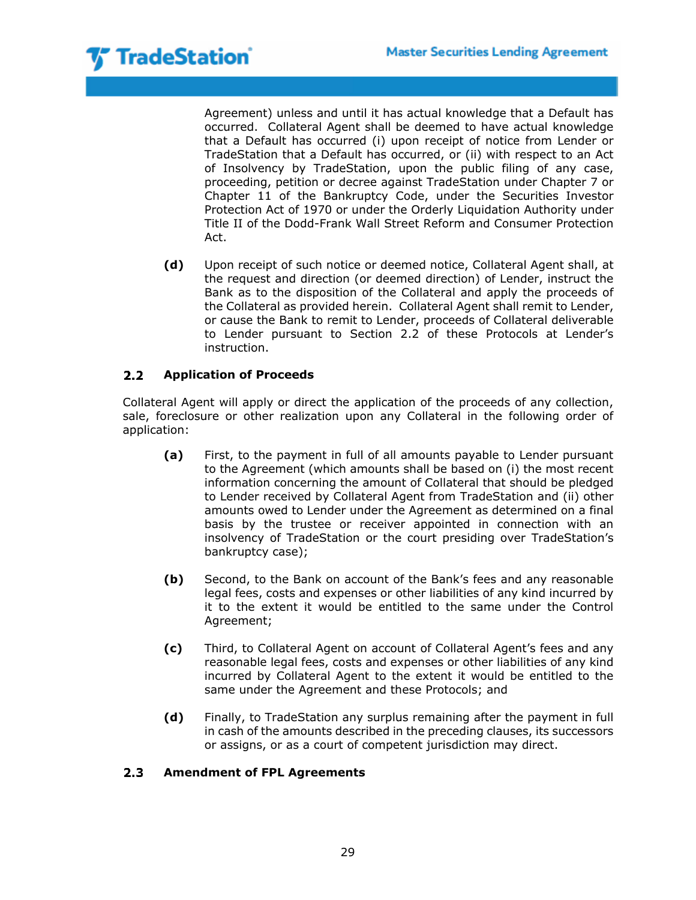

Agreement) unless and until it has actual knowledge that a Default has occurred. Collateral Agent shall be deemed to have actual knowledge that a Default has occurred (i) upon receipt of notice from Lender or TradeStation that a Default has occurred, or (ii) with respect to an Act of Insolvency by TradeStation, upon the public filing of any case, proceeding, petition or decree against TradeStation under Chapter 7 or Chapter 11 of the Bankruptcy Code, under the Securities Investor Protection Act of 1970 or under the Orderly Liquidation Authority under Title II of the Dodd-Frank Wall Street Reform and Consumer Protection Act.

**(d)** Upon receipt of such notice or deemed notice, Collateral Agent shall, at the request and direction (or deemed direction) of Lender, instruct the Bank as to the disposition of the Collateral and apply the proceeds of the Collateral as provided herein. Collateral Agent shall remit to Lender, or cause the Bank to remit to Lender, proceeds of Collateral deliverable to Lender pursuant to Section 2.2 of these Protocols at Lender's instruction.

### $2.2<sub>2</sub>$ **Application of Proceeds**

Collateral Agent will apply or direct the application of the proceeds of any collection, sale, foreclosure or other realization upon any Collateral in the following order of application:

- **(a)** First, to the payment in full of all amounts payable to Lender pursuant to the Agreement (which amounts shall be based on (i) the most recent information concerning the amount of Collateral that should be pledged to Lender received by Collateral Agent from TradeStation and (ii) other amounts owed to Lender under the Agreement as determined on a final basis by the trustee or receiver appointed in connection with an insolvency of TradeStation or the court presiding over TradeStation's bankruptcy case);
- **(b)** Second, to the Bank on account of the Bank's fees and any reasonable legal fees, costs and expenses or other liabilities of any kind incurred by it to the extent it would be entitled to the same under the Control Agreement;
- **(c)** Third, to Collateral Agent on account of Collateral Agent's fees and any reasonable legal fees, costs and expenses or other liabilities of any kind incurred by Collateral Agent to the extent it would be entitled to the same under the Agreement and these Protocols; and
- **(d)** Finally, to TradeStation any surplus remaining after the payment in full in cash of the amounts described in the preceding clauses, its successors or assigns, or as a court of competent jurisdiction may direct.

### $2.3$ **Amendment of FPL Agreements**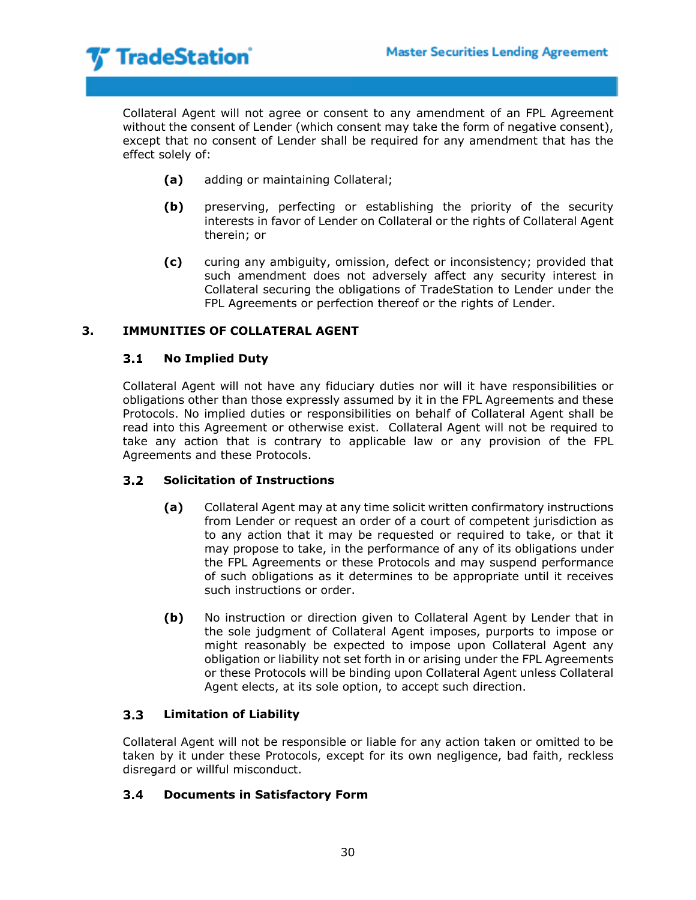

Collateral Agent will not agree or consent to any amendment of an FPL Agreement without the consent of Lender (which consent may take the form of negative consent), except that no consent of Lender shall be required for any amendment that has the effect solely of:

- **(a)** adding or maintaining Collateral;
- **(b)** preserving, perfecting or establishing the priority of the security interests in favor of Lender on Collateral or the rights of Collateral Agent therein; or
- **(c)** curing any ambiguity, omission, defect or inconsistency; provided that such amendment does not adversely affect any security interest in Collateral securing the obligations of TradeStation to Lender under the FPL Agreements or perfection thereof or the rights of Lender.

# **3. IMMUNITIES OF COLLATERAL AGENT**

### $3.1$ **No Implied Duty**

Collateral Agent will not have any fiduciary duties nor will it have responsibilities or obligations other than those expressly assumed by it in the FPL Agreements and these Protocols. No implied duties or responsibilities on behalf of Collateral Agent shall be read into this Agreement or otherwise exist. Collateral Agent will not be required to take any action that is contrary to applicable law or any provision of the FPL Agreements and these Protocols.

### $3.2$ **Solicitation of Instructions**

- **(a)** Collateral Agent may at any time solicit written confirmatory instructions from Lender or request an order of a court of competent jurisdiction as to any action that it may be requested or required to take, or that it may propose to take, in the performance of any of its obligations under the FPL Agreements or these Protocols and may suspend performance of such obligations as it determines to be appropriate until it receives such instructions or order.
- **(b)** No instruction or direction given to Collateral Agent by Lender that in the sole judgment of Collateral Agent imposes, purports to impose or might reasonably be expected to impose upon Collateral Agent any obligation or liability not set forth in or arising under the FPL Agreements or these Protocols will be binding upon Collateral Agent unless Collateral Agent elects, at its sole option, to accept such direction.

### $3.3<sub>1</sub>$ **Limitation of Liability**

Collateral Agent will not be responsible or liable for any action taken or omitted to be taken by it under these Protocols, except for its own negligence, bad faith, reckless disregard or willful misconduct.

#### **Documents in Satisfactory Form** $3.4$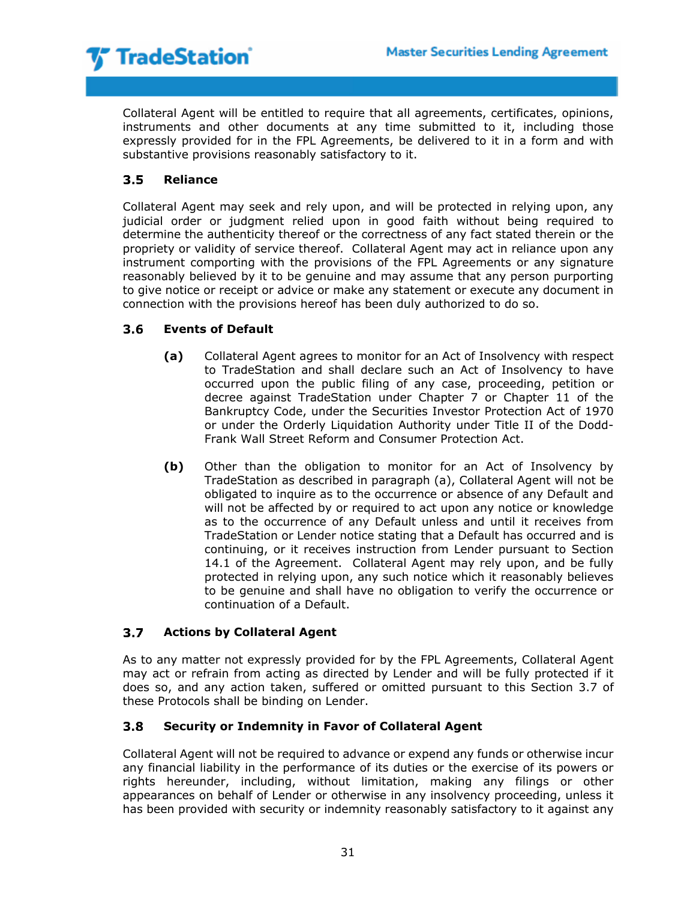

Collateral Agent will be entitled to require that all agreements, certificates, opinions, instruments and other documents at any time submitted to it, including those expressly provided for in the FPL Agreements, be delivered to it in a form and with substantive provisions reasonably satisfactory to it.

### $3.5<sub>1</sub>$ **Reliance**

Collateral Agent may seek and rely upon, and will be protected in relying upon, any judicial order or judgment relied upon in good faith without being required to determine the authenticity thereof or the correctness of any fact stated therein or the propriety or validity of service thereof. Collateral Agent may act in reliance upon any instrument comporting with the provisions of the FPL Agreements or any signature reasonably believed by it to be genuine and may assume that any person purporting to give notice or receipt or advice or make any statement or execute any document in connection with the provisions hereof has been duly authorized to do so.

### $3.6$ **Events of Default**

- **(a)** Collateral Agent agrees to monitor for an Act of Insolvency with respect to TradeStation and shall declare such an Act of Insolvency to have occurred upon the public filing of any case, proceeding, petition or decree against TradeStation under Chapter 7 or Chapter 11 of the Bankruptcy Code, under the Securities Investor Protection Act of 1970 or under the Orderly Liquidation Authority under Title II of the Dodd-Frank Wall Street Reform and Consumer Protection Act.
- **(b)** Other than the obligation to monitor for an Act of Insolvency by TradeStation as described in paragraph (a), Collateral Agent will not be obligated to inquire as to the occurrence or absence of any Default and will not be affected by or required to act upon any notice or knowledge as to the occurrence of any Default unless and until it receives from TradeStation or Lender notice stating that a Default has occurred and is continuing, or it receives instruction from Lender pursuant to Section 14.1 of the Agreement. Collateral Agent may rely upon, and be fully protected in relying upon, any such notice which it reasonably believes to be genuine and shall have no obligation to verify the occurrence or continuation of a Default.

### $3.7<sub>2</sub>$ **Actions by Collateral Agent**

As to any matter not expressly provided for by the FPL Agreements, Collateral Agent may act or refrain from acting as directed by Lender and will be fully protected if it does so, and any action taken, suffered or omitted pursuant to this Section 3.7 of these Protocols shall be binding on Lender.

### $3.8$ **Security or Indemnity in Favor of Collateral Agent**

Collateral Agent will not be required to advance or expend any funds or otherwise incur any financial liability in the performance of its duties or the exercise of its powers or rights hereunder, including, without limitation, making any filings or other appearances on behalf of Lender or otherwise in any insolvency proceeding, unless it has been provided with security or indemnity reasonably satisfactory to it against any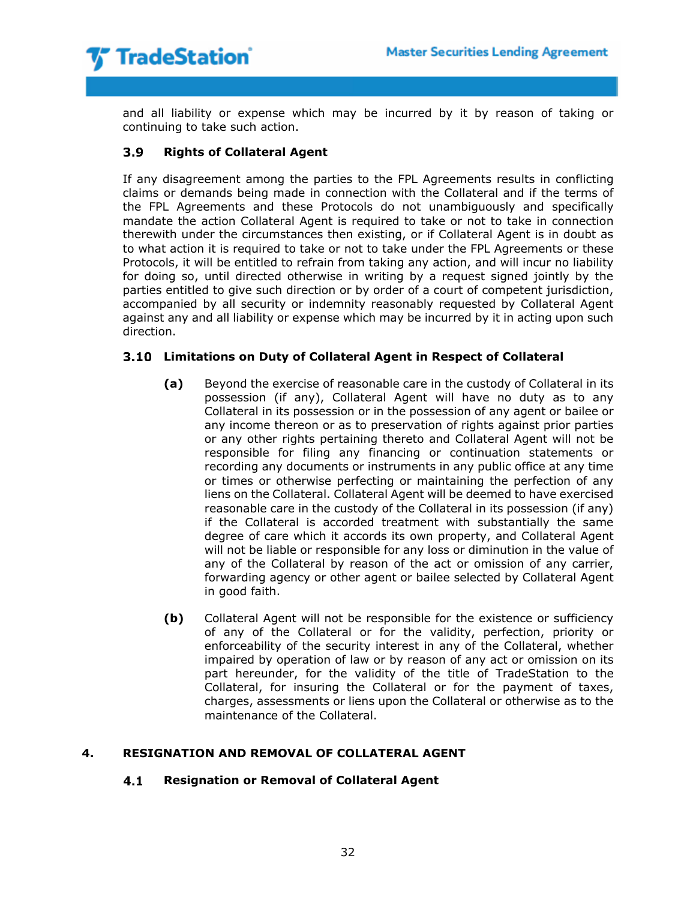

and all liability or expense which may be incurred by it by reason of taking or continuing to take such action.

### **Rights of Collateral Agent**  $3.9<sub>1</sub>$

If any disagreement among the parties to the FPL Agreements results in conflicting claims or demands being made in connection with the Collateral and if the terms of the FPL Agreements and these Protocols do not unambiguously and specifically mandate the action Collateral Agent is required to take or not to take in connection therewith under the circumstances then existing, or if Collateral Agent is in doubt as to what action it is required to take or not to take under the FPL Agreements or these Protocols, it will be entitled to refrain from taking any action, and will incur no liability for doing so, until directed otherwise in writing by a request signed jointly by the parties entitled to give such direction or by order of a court of competent jurisdiction, accompanied by all security or indemnity reasonably requested by Collateral Agent against any and all liability or expense which may be incurred by it in acting upon such direction.

# **Limitations on Duty of Collateral Agent in Respect of Collateral**

- **(a)** Beyond the exercise of reasonable care in the custody of Collateral in its possession (if any), Collateral Agent will have no duty as to any Collateral in its possession or in the possession of any agent or bailee or any income thereon or as to preservation of rights against prior parties or any other rights pertaining thereto and Collateral Agent will not be responsible for filing any financing or continuation statements or recording any documents or instruments in any public office at any time or times or otherwise perfecting or maintaining the perfection of any liens on the Collateral. Collateral Agent will be deemed to have exercised reasonable care in the custody of the Collateral in its possession (if any) if the Collateral is accorded treatment with substantially the same degree of care which it accords its own property, and Collateral Agent will not be liable or responsible for any loss or diminution in the value of any of the Collateral by reason of the act or omission of any carrier, forwarding agency or other agent or bailee selected by Collateral Agent in good faith.
- **(b)** Collateral Agent will not be responsible for the existence or sufficiency of any of the Collateral or for the validity, perfection, priority or enforceability of the security interest in any of the Collateral, whether impaired by operation of law or by reason of any act or omission on its part hereunder, for the validity of the title of TradeStation to the Collateral, for insuring the Collateral or for the payment of taxes, charges, assessments or liens upon the Collateral or otherwise as to the maintenance of the Collateral.

# **4. RESIGNATION AND REMOVAL OF COLLATERAL AGENT**

### $4.1$ **Resignation or Removal of Collateral Agent**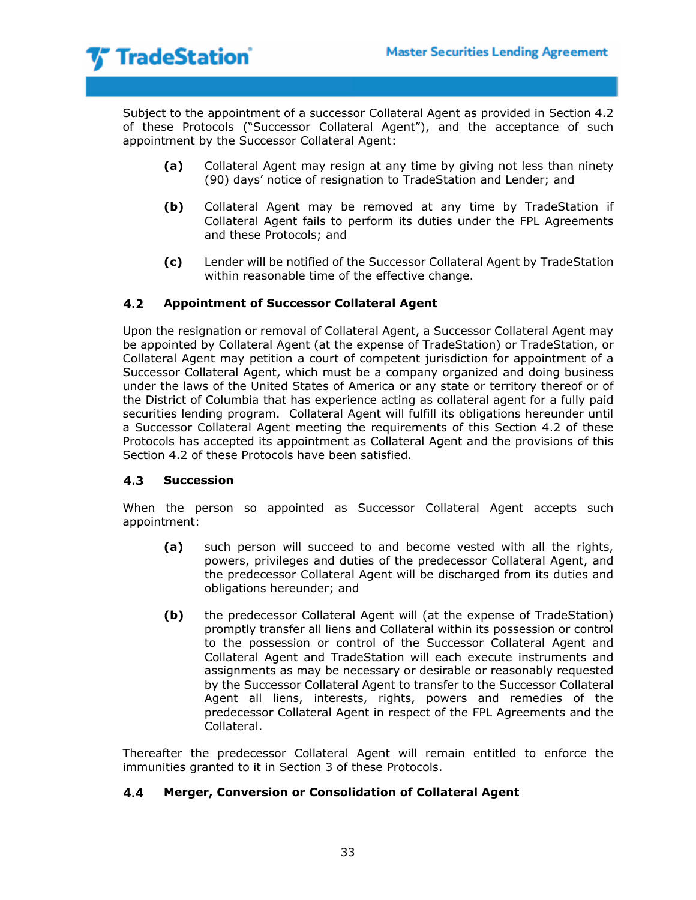Subject to the appointment of a successor Collateral Agent as provided in Section 4.2 of these Protocols ("Successor Collateral Agent"), and the acceptance of such appointment by the Successor Collateral Agent:

- **(a)** Collateral Agent may resign at any time by giving not less than ninety (90) days' notice of resignation to TradeStation and Lender; and
- **(b)** Collateral Agent may be removed at any time by TradeStation if Collateral Agent fails to perform its duties under the FPL Agreements and these Protocols; and
- **(c)** Lender will be notified of the Successor Collateral Agent by TradeStation within reasonable time of the effective change.

### $4.2$ **Appointment of Successor Collateral Agent**

Upon the resignation or removal of Collateral Agent, a Successor Collateral Agent may be appointed by Collateral Agent (at the expense of TradeStation) or TradeStation, or Collateral Agent may petition a court of competent jurisdiction for appointment of a Successor Collateral Agent, which must be a company organized and doing business under the laws of the United States of America or any state or territory thereof or of the District of Columbia that has experience acting as collateral agent for a fully paid securities lending program. Collateral Agent will fulfill its obligations hereunder until a Successor Collateral Agent meeting the requirements of this Section 4.2 of these Protocols has accepted its appointment as Collateral Agent and the provisions of this Section 4.2 of these Protocols have been satisfied.

#### **Succession**  $4.3$

When the person so appointed as Successor Collateral Agent accepts such appointment:

- **(a)** such person will succeed to and become vested with all the rights, powers, privileges and duties of the predecessor Collateral Agent, and the predecessor Collateral Agent will be discharged from its duties and obligations hereunder; and
- **(b)** the predecessor Collateral Agent will (at the expense of TradeStation) promptly transfer all liens and Collateral within its possession or control to the possession or control of the Successor Collateral Agent and Collateral Agent and TradeStation will each execute instruments and assignments as may be necessary or desirable or reasonably requested by the Successor Collateral Agent to transfer to the Successor Collateral Agent all liens, interests, rights, powers and remedies of the predecessor Collateral Agent in respect of the FPL Agreements and the Collateral.

Thereafter the predecessor Collateral Agent will remain entitled to enforce the immunities granted to it in Section 3 of these Protocols.

#### $4.4$ **Merger, Conversion or Consolidation of Collateral Agent**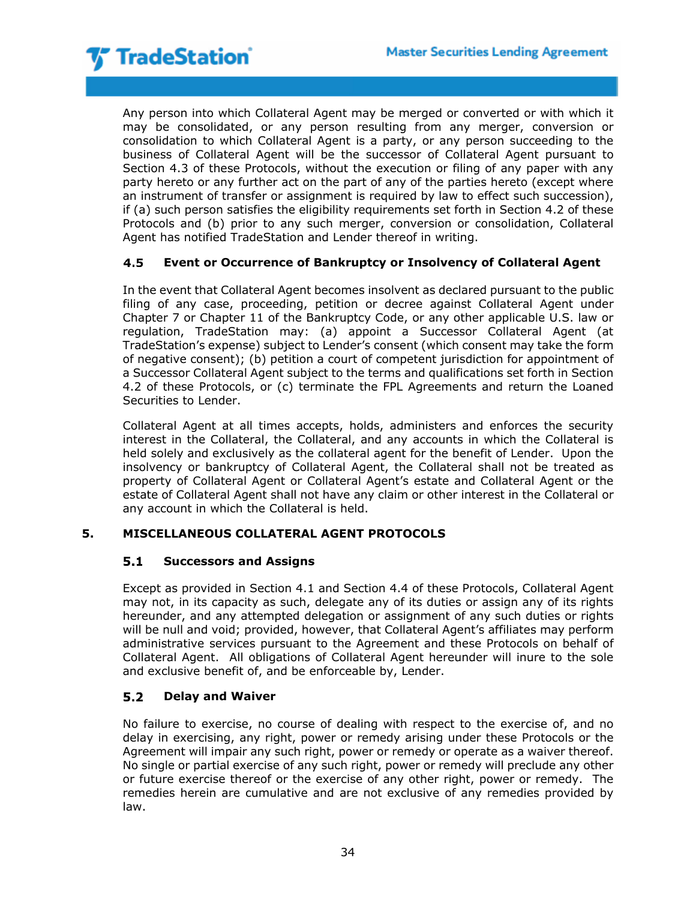

Any person into which Collateral Agent may be merged or converted or with which it may be consolidated, or any person resulting from any merger, conversion or consolidation to which Collateral Agent is a party, or any person succeeding to the business of Collateral Agent will be the successor of Collateral Agent pursuant to Section 4.3 of these Protocols, without the execution or filing of any paper with any party hereto or any further act on the part of any of the parties hereto (except where an instrument of transfer or assignment is required by law to effect such succession), if (a) such person satisfies the eligibility requirements set forth in Section 4.2 of these Protocols and (b) prior to any such merger, conversion or consolidation, Collateral Agent has notified TradeStation and Lender thereof in writing.

### 4.5 **Event or Occurrence of Bankruptcy or Insolvency of Collateral Agent**

In the event that Collateral Agent becomes insolvent as declared pursuant to the public filing of any case, proceeding, petition or decree against Collateral Agent under Chapter 7 or Chapter 11 of the Bankruptcy Code, or any other applicable U.S. law or regulation, TradeStation may: (a) appoint a Successor Collateral Agent (at TradeStation's expense) subject to Lender's consent (which consent may take the form of negative consent); (b) petition a court of competent jurisdiction for appointment of a Successor Collateral Agent subject to the terms and qualifications set forth in Section 4.2 of these Protocols, or (c) terminate the FPL Agreements and return the Loaned Securities to Lender.

Collateral Agent at all times accepts, holds, administers and enforces the security interest in the Collateral, the Collateral, and any accounts in which the Collateral is held solely and exclusively as the collateral agent for the benefit of Lender. Upon the insolvency or bankruptcy of Collateral Agent, the Collateral shall not be treated as property of Collateral Agent or Collateral Agent's estate and Collateral Agent or the estate of Collateral Agent shall not have any claim or other interest in the Collateral or any account in which the Collateral is held.

# **5. MISCELLANEOUS COLLATERAL AGENT PROTOCOLS**

#### $5.1$ **Successors and Assigns**

Except as provided in Section 4.1 and Section 4.4 of these Protocols, Collateral Agent may not, in its capacity as such, delegate any of its duties or assign any of its rights hereunder, and any attempted delegation or assignment of any such duties or rights will be null and void; provided, however, that Collateral Agent's affiliates may perform administrative services pursuant to the Agreement and these Protocols on behalf of Collateral Agent. All obligations of Collateral Agent hereunder will inure to the sole and exclusive benefit of, and be enforceable by, Lender.

### $5.2$ **Delay and Waiver**

No failure to exercise, no course of dealing with respect to the exercise of, and no delay in exercising, any right, power or remedy arising under these Protocols or the Agreement will impair any such right, power or remedy or operate as a waiver thereof. No single or partial exercise of any such right, power or remedy will preclude any other or future exercise thereof or the exercise of any other right, power or remedy. The remedies herein are cumulative and are not exclusive of any remedies provided by law.